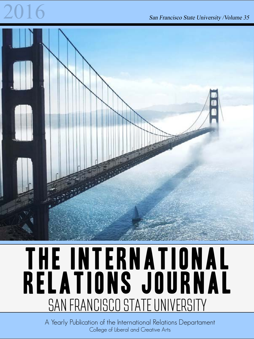## an Francisco State University /Volume 35



## THE INTERNATIONAL Relations Journal SAN FRANCISCO STATE UNIVERSITY

A Yearly Publication of the International Relations Departament College of Liberal and Creative Arts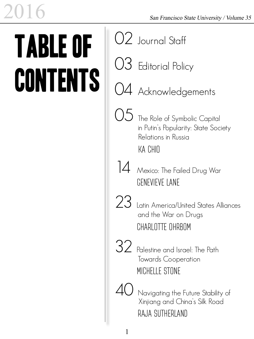# Table of **CONTENTS**

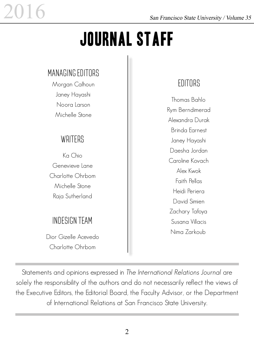## Journal Staff

## Managing Editors

Morgan Calhoun Janey Hayashi Noora Larson Michelle Stone

## **WRITERS**

Ka Chio Genevieve Lane Charlotte Ohrbom Michelle Stone Raja Sutherland

## InDesign Team

Dior Gizelle Acevedo Charlotte Ohrbom

## **EDITORS**

Thomas Bahlo Rym Berndimerad Alexandra Durak Brinda Earnest Janey Hayashi Daesha Jordan Caroline Kovach Alex Kwok Faith Pellas Heidi Periera David Simien Zachary Tafoya Susana Villacis Nima Zarkoub

Statements and opinions expressed in The International Relations Journal are solely the responsibility of the authors and do not necessarily reflect the views of the Executive Editors, the Editorial Board, the Faculty Advisor, or the Department of International Relations at San Francisco State University.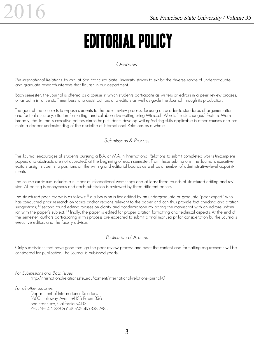## Editorial Policy

#### Overview

The International Relations Journal at San Francisco State University strives to exhibit the diverse range of undergraduate and graduate research interests that flourish in our department.

Each semester, the Journal is offered as a course in which students participate as writers or editors in a peer review process, or as administrative staff members who assist authors and editors as well as guide the Journal through its production.

The goal of the course is to expose students to the peer review process, focusing on academic standards of argumentation and factual accuracy, citation formatting, and collaborative editing using Microsoft Word's "track changes" feature. More broadly, the Journal's executive editors aim to help students develop writing/editing skills applicable in other courses and promote a deeper understanding of the discipline of International Relations as a whole.

#### Submissons & Process

The Journal encourages all students pursuing a B.A. or M.A. in International Relations to submit completed works (incomplete papers and abstracts are not accepted) at the beginning of each semester. From these submissions, the Journal's executive editors assign students to positions on the writing and editorial boards as well as a number of administrative-level appointments.

The course curriculum includes a number of informational workshops and at least three rounds of structured editing and revision. All editing is anonymous and each submission is reviewed by three different editors.

The structured peer review is as follows:  $^{11}$  a submission is first edited by an undergraduate or graduate "peer expert" who has conducted prior research on topics and/or regions relevant to the paper and can thus provide fact checking and citation suggestions; <sup>[2]</sup> second round editing focuses on clarity and academic tone my paring the manuscript with an editore unfamiliar with the paper's subject;  $\frac{13}{2}$  finally, the paper is edited for proper citation formatting and technical aspects. At the end of the semester, authors participating in this process are expected to submit a final manuscript for consideration by the Journal's executive editors and the faculty advisor.

#### Publication of Articles

Only submissions that have gone through the peer review process and meet the content and formatting requirements will be considered for publication. The Journal is published yearly.

For Submissions and Back Issues:

http://internationalrelations.sfsu.edu/content/international-relations-journal-0

For all other inquiries:

Department of International Relations 1600 Holloway Avenue/HSS Room 336 San Francisco, California 94132 PHONE: 415.338.2654/ FAX: 415.338.2880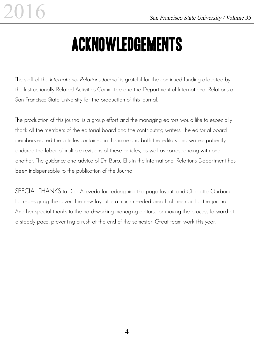## Acknowledgements

The staff of the International Relations Journal is grateful for the continued funding allocated by the Instructionally Related Activities Committee and the Department of International Relations at San Francisco State University for the production of this journal.

The production of this journal is a group effort and the managing editors would like to especially thank all the members of the editorial board and the contributing writers. The editorial board members edited the articles contained in this issue and both the editors and writers patiently endured the labor of multiple revisions of these articles, as well as corresponding with one another. The guidance and advice of Dr. Burcu Ellis in the International Relations Department has been indispensable to the publication of the Journal.

SPECIAL THANKS to Dior Acevedo for redesigning the page layout, and Charlotte Ohrbom for redesigning the cover. The new layout is a much needed breath of fresh air for the journal. Another special thanks to the hard-working managing editors, for moving the process forward at a steady pace, preventing a rush at the end of the semester. Great team work this year!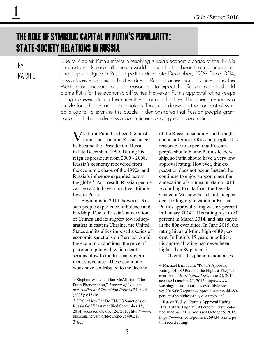## The Role of Symbolic Capital in Putin's Popularity: State-Society Relations in Russia

### By KA CHIO

1

Due to Vladimir Putin's efforts in resolving Russia's economic chaos of the 1990s and restoring Russia's influence in world politics, he has been the most important and popular figure in Russian politics since late December, 1999. Since 2014, Russia faces economic difficulties due to Russia's annexation of Crimea and the West's economic sanctions. It is reasonable to expect that Russian people should blame Putin for the economic difficulties. However, Putin's approval rating keeps going up even during the current economic difficulties. This phenomenon is a puzzle for scholars and policymakers. This study draws on the concept of symbolic capital to examine this puzzle. It demonstrates that Russian people grant honor for Putin to rule Russia. So, Putin enjoys a high approval rating.

**T** / *I* adimir Putin has been the most important leader in Russia since he became the President of Russia in late December, 1999. During his reign as president from 2000 - 2008, Russia's economy recovered from the economic chaos of the 1990s, and Russia's influence expanded across the globe. $<sup>1</sup>$  As a result, Russian people</sup> can be said to have a positive attitude toward Putin.

Beginning in 2014, however, Russian people experience turbulence and hardship. Due to Russia's annexation of Crimea and its support toward separatists in eastern Ukraine, the United States and its allies imposed a series of economic sanctions on Russia.<sup>2</sup> Amid the economic sanctions, the price of petroleum plunged, which dealt a serious blow to the Russian government's revenue.<sup>3</sup> These economic woes have contributed to the decline

of the Russian economy and brought about suffering to Russian people. It is reasonable to expect that Russian people should blame Putin's leadership, so Putin should have a very low approval rating. However, this expectation does not occur. Instead, he continues to enjoy support since the annexation of Crimea in March 2014. According to data from the Levada Center, a Moscow-based and independent polling organization in Russia, Putin's approval rating was 65 percent in January 2014.<sup>4</sup> His rating rose to 80 percent in March 2014, and has stayed in the 80s ever since. In June 2015, the rating hit an all-time high of 89 percent. In Putin's 15 years in politics, his approval rating had never been higher than 89 percent.<sup>5</sup>

Overall, this phenomenon poses

<sup>1</sup> Stephen White and Ian McAllister, "The Putin Phenomenon," *Journal of Communist Studies and Transition Politics* 24, no.4 (2008): 615-16.

<sup>2</sup> BBC. "How Far Do EU-US Sanctions on Russia Go?," last modified September 15, 2014, accessed October 26, 2015, http://www. bbc.com/news/world-europe-28400218. 3 *Ibid.*

<sup>4</sup> Michael Birnbaum, "Putin's Approval Ratings Hit 89 Percent, the Highest They've ever been," *Washington Post*, June 24, 2015, accessed October 25, 2015, https://www. washingtonpost.com/news/worldviews/ wp/2015/06/24/putins-approval-ratings-hit-89 percent-the-highest-theyve-ever-been/ 5 Russia Today, "Putin's Approval Rating Hits Historic High at 89 Percent," last modified June 24, 2015, accessed October 5, 2015, https://www.rt.com/politics/269434-russia-putin-record-rating/.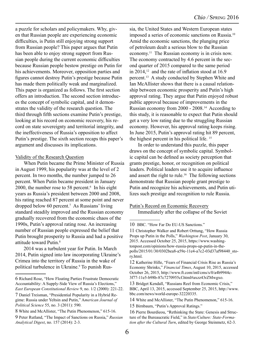a puzzle for scholars and policymakers. Why, given that Russian people are experiencing economic difficulties, is Putin still enjoying strong support from Russian people? This paper argues that Putin has been able to enjoy strong support from Russian people during the current economic difficulties because Russian people bestow prestige on Putin for his achievements. Moreover, opposition parties and figures cannot destroy Putin's prestige because Putin has made them politically weak and marginalized. This paper is organized as follows. The first section offers an introduction. The second section introduces the concept of symbolic capital, and it demonstrates the validity of the research question. The third through fifth sections examine Putin's prestige, looking at his record on economic recovery, his record on state sovereignty and territorial integrity, and the ineffectiveness of Russia's opposition to affect Putin's prestige. The sixth section recaps this paper's argument and discusses its implications.

#### Validity of the Research Question

When Putin became the Prime Minister of Russia in August 1999, his popularity was at the level of 2 percent. In two months, the number jumped to 26 percent. When Putin became president in January 2000, the number rose to 58 percent. $6 \text{ In his eight}$ years as Russia's president between 2000 and 2008, his rating reached 87 percent at some point and never dropped below 60 percent.7 As Russians' living standard steadily improved and the Russian economy gradually recovered from the economic chaos of the 1990s, Putin's approval rating rose. An increasing number of Russian people expressed the belief that Putin brought prosperity to Russia and had a positive attitude toward Putin.<sup>8</sup>

2014 was a turbulent year for Putin. In March 2014, Putin signed into law incorporating Ukraine's Crimea into the territory of Russia in the wake of political turbulence in Ukraine.<sup>9</sup> To punish Russia, the United States and Western European states imposed a series of economic sanctions on Russia.10 Amid the economic sanctions, the plunging price of petroleum dealt a serious blow to the Russian economy.11 The Russian economy is in crisis now. The economy contracted by 4.6 percent in the second quarter of 2015 compared to the same period in  $2014$ ,<sup>12</sup> and the rate of inflation stood at 16.9 percent.13 A study conducted by Stephen White and Ian McAllister shows that there is a causal relationship between economic prosperity and Putin's high approval rating. They argue that Putin enjoyed robust public approval because of improvements in the Russian economy from 2000 - 2008.14 According to this study, it is reasonable to expect that Putin should get a very low rating due to the struggling Russian economy. However, his approval rating keeps rising. In June 2015, Putin's approval rating hit 89 percent, the highest percent in his political life. 15

In order to understand this puzzle, this paper draws on the concept of symbolic capital. Symbolic capital can be defined as society perception that grants prestige, honor, or recognition on political leaders. Political leaders use it to acquire influence and assert the right to rule.<sup>16</sup> The following sections demonstrate that Russian people grant prestige to Putin and recognize his achievements, and Putin utilizes such prestige and recognition to rule Russia.

#### Putin's Record on Economic Recovery

Immediately after the collapse of the Soviet

<sup>6</sup> Richard Rose, "How Floating Parties Frustrate Democratic Accountability: A Supply-Side View of Russia's Elections," *East European Constitutional Review* 9, no. 1/2 (2000): 221-22.

<sup>7</sup> Daniel Treisman, "Presidential Popularity in a Hybrid Regime: Russia under Yeltsin and Putin," A*merican Journal of Political Science* 55, no. 3 (2011): 590.

<sup>8</sup> White and McAllister, "The Putin Phenomenon," 615-16.

<sup>9</sup> Peter Rutland, "The Impact of Sanctions on Russia," *Russian Analytical Digest*, no. 157 (2014): 2-3.

<sup>10</sup> BBC. "How Far Do EU-US Sanctions."

<sup>11</sup> Christopher Walker and Robert Orttung, "How Russia Props up Putin in the Polls," *Washington Post*, January 30, 2015. Accessed October 25, 2015, https://www.washingtonpost.com/opinions/how-russia-props-up-putin-in-thepolls/2015/01/30/0302bea8-a59e-11e4-a7c2-03d37af98440\_story.html.

<sup>12</sup> Katherine Hille, "Fears of Financial Crisis Rise as Russia's Economy Shrinks," *Financial Times*, August 10, 2015, accessed October 26, 2015, http://www.ft.com/intl/cms/s/0/a4b9944c-3f77-11e5-b98b-87c7270955cf.html#axzz43rZMwgxo.

<sup>13</sup> Bridget Kendall, "Russians Reel from Economic Crisis," BBC, April 13, 2015, accessed September 25, 2015, http://www. bbc.com/news/world-europe-32220335.

<sup>14</sup> White and McAllister, "The Putin Phenomenon," 615-16.

<sup>15</sup> Birnbaum, "Putin's Approval Ratings."

<sup>16</sup> Pierre Bourdieou, "Rethinking the State: Genesis and Structure of the Bureaucratic Field," in *State/Culture: State-Formation after the Cultural Turn*, edited by George Steinmetz, 62-3.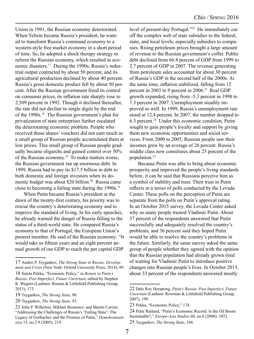Union in 1991, the Russian economy deteriorated. When Yeltsin became Russia's president, he wanted to transform Russia's command economy to a western-style free market economy in a short period of time. So, he adopted a shock therapy strategy to reform the Russian economy, which resulted in economic disasters.17 During the 1990s, Russia's industrial output contracted by about 50 percent, and its agricultural production declined by about 40 percent. Russia's gross domestic product fell by about 50 percent. After the Russian government freed its control on consumer prices, its inflation rate sharply rose to 2,509 percent in 1992. Though it declined thereafter, the rate did not decline to single digits by the end of the 1990s.18 The Russian government's plan for privatization of state enterprises further escalated the deteriorating economic problem. People who received those shares' vouchers did not earn much as a small group of Russian people accumulated them at low prices. This small group of Russian people gradually became oligarchs and gained control over 50% of the Russian economy.<sup>19</sup> To make matters worse, the Russian government ran up enormous debt. In 1999, Russia had to pay its \$17.5 billion in debt to both domestic and foreign investors when its domestic budget was about \$20 billion.<sup>20</sup> Russia came close to becoming a failing state during the  $1990s$ <sup>21</sup>

When Putin became Russia's president at the dawn of the twenty-first century, his priority was to rescue the country's deteriorating economy and to improve the standard of living. In his early speeches, he already warned the danger of Russia falling to the status of a third-world state. He compared Russia's economy to that of Portugal, the European Union's poorest member. He said of the Russian economy: "It would take us fifteen years and an eight percent annual growth of our GDP to reach the per capital GDP

level of present-day Portugal."22 He immediately cut off the complex web of state subsidies to the federal, state, and local levels, especially subsidies to companies. Rising petroleum prices brought a large amount of revenue to the Russian government's coffer. Public debt declined from 66.8 percent of GDP from 1999 to 2.7 percent of GDP in 2007. The revenue generating from petroleum sales accounted for about 30 percent of Russia's GDP in the second half of the 2000s. At the same time, inflation stabilized, falling from 12 percent in 2003 to 9 percent in 2006.<sup>23</sup> Real GDP growth expanded, rising from -5.3 percent in 1998 to 7.3 percent in 2007. Unemployment steadily improved as well. In 1999, Russia's unemployment rate stood at 12.4 percent. In 2007, the number dropped to 6.3 percent.24 Under this economic condition, Putin sought to gain people's loyalty and support by giving them new economic opportunities and social services. From 2000 to 2005, Russian people saw their incomes grew by an average of 26 percent. Russia's middle class now constitutes about 25 percent of the population.25

Because Putin was able to bring about economic prosperity and improved the people's living standards before, it can be said that Russians perceive him as a symbol of stability and trust. Their trust in Putin reflects in a series of polls conducted by the Levada Center. These polls on the perception of Putin are separate from the polls on Putin's approval rating. In an October 2015 survey, the Levada Center asked why so many people trusted Vladimir Putin. About 37 percent of the respondents answered that Putin successfully and adequately resolved the country's problems, and 36 percent said they hoped Putin would be able to resolve the country's problems in the future. Similarly, the same survey asked the same group of people whether they agreed with the opinion that the Russian population had already grown tired of waiting for Vladimir Putin to introduce positive changes into Russian people's lives. In October 2015, about 33 percent of the respondents answered mostly

<sup>17</sup> Andrei P. Tsygankov, *The Strong State in Russia: Development and Crisis* (New York: Oxford University Press, 2014), 89.

<sup>18</sup> Sutela Pekka, "Economic Policy," in *Return to Putin's Russia: Past Imperfect, Future Uncertain*, edited by Stephen K. Wegren (Lanham: Roman & Littlefield Publishing Group, 2013), 173.

<sup>19</sup> Tsygankov, *The Strong State*, 90.

<sup>20</sup> Tsygankov, *The Strong State*, 93.

<sup>21</sup> John P. Willerton, Mikhail Beznosov, and Martin Carrier, "Addressing the Challenges of Russia's 'Failing State': The Legacy of Gorbachev and the Promise of Putin," *Demokratizatisiya* 13, no.2 9 (2005): 219.

<sup>22</sup> Dale Roy Herspring, *Putin's Russia: Past Imperfect, Future Uncertain* (Lanham: Rowman & Littlefield Publishing Group, 2007), 199.

<sup>23</sup> Pekka, "Economic Policy," 174.

<sup>24</sup> Peter Rutland, "Putin's Economic Record: Is the Oil Boom Sustainable?," *Europe-Asia Studies* 60, no.6 (2008): 1052. 25 Tsygankov, *The Strong State*, 104.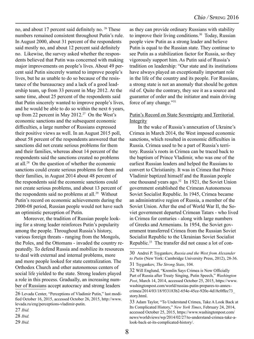no, and about 17 percent said definitely no. 26 These numbers remained consistent throughout Putin's rule. In August 2000, about 31 percent of the respondents said mostly no, and about 12 percent said definitely no. Likewise, the survey asked whether the respondents believed that Putin was concerned with making major improvements on people's lives. About 49 percent said Putin sincerely wanted to improve people's lives, but he as unable to do so because of the resistance of the bureaucracy and a lack of a good leadership team, up from 33 percent in May 2012. At the same time, about 25 percent of the respondents said that Putin sincerely wanted to improve people's lives, and he would be able to do so within the next 6 years, up from 22 percent in May 2012.<sup>27</sup> On the West's economic sanctions and the subsequent economic difficulties, a large number of Russians expressed their positive views as well. In an August 2015 poll, about 58 percent of the respondents answered that the sanctions did not create serious problems for them and their families, whereas about 14 percent of the respondents said the sanctions created no problems at all.28 On the question of whether the economic sanctions could create serious problems for them and their families, in August 2014 about 48 percent of the respondents said the economic sanctions could not create serious problems, and about 13 percent of the respondents said no problems at all.<sup>29</sup> Without Putin's record on economic achievements during the 2000-08 period, Russian people would not have such an optimistic perception of Putin.

Moreover, the tradition of Russian people looking for a strong leader reinforces Putin's popularity among the people. Throughout Russia's history, various foreign threats - ranging from the Mongols, the Poles, and the Ottomans - invaded the country repeatedly. To defend Russia and mobilize its resources to deal with external and internal problems, more and more people looked for state centralization. The Orthodox Church and other autonomous centers of social life yielded to the state. Strong leaders played a role in this process. Gradually, an increasing number of Russians accept autocracy and strong leaders

as they can provide ordinary Russians with stability to improve their living conditions.<sup>30</sup> Today, Russian people view Putin as a strong leader and believe Putin is equal to the Russian state. They continue to see Putin as a stabilization factor for Russia, so they vigorously support him. As Putin said of Russia's tradition on leadership: "Our state and its institutions have always played an exceptionally important role in the life of the country and its people. For Russians, a strong state is not an anomaly that should be gotten rid of. Quite the contrary, they see it as a source and guarantor of order and the initiator and main driving force of any change."31

#### Putin's Record on State Sovereignty and Territorial Integrity

In the wake of Russia's annexation of Ukraine's Crimea in March 2014, the West imposed economic sanctions, which resulted in economic difficulties in Russia. Crimea used to be a part of Russia's territory. Russia's roots in Crimea can be traced back to the baptism of Prince Vladimir, who was one of the earliest Russian leaders and helped the Russians to convert to Christianity. It was in Crimea that Prince Vladimir baptized himself and the Russian people one thousand years ago.<sup>32</sup> In 1921, the Soviet Union government established the Crimean Autonomous Soviet Socialist Republic. In 1945, Crimea became an administrative region of Russia, a member of the Soviet Union. After the end of World War II, the Soviet government departed Crimean Tatars - who lived in Crimea for centuries - along with large numbers of Greeks and Armenians. In 1954, the Soviet government transferred Crimea from the Russian Soviet Socialist Republic to the Ukrainian Soviet Socialist Republic.<sup>33</sup> The transfer did not cause a lot of con-

<sup>26</sup> Levada Center, "Perceptions of Vladimir Putin," last modified October 16, 2015, accessed October 26, 2015, http://www. levada.ru/eng/perceptions-vladimir-putin.

<sup>27</sup> *Ibid.*

<sup>28</sup> *Ibid.*

<sup>29</sup> *Ibid.*

<sup>30</sup> Andrei P. Tsygankov, *Russia and the West from Alexander to Putin* (New York: Cambridge University Press, 2012), 28-36.

<sup>31</sup> Tsygankov, *The Strong State*, 104.

<sup>32</sup> Will Englund, "Kremlin Says Crimea is Now Officially Part of Russia after Treaty Singing, Putin Speech," *Washington Post*, March 14, 2014, accessed October 25, 2015, https://www. washingtonpost.com/world/russias-putin-prepares-to-annexcrimea/2014/03/18/933183b2-654e-45ce-920e-4d18c0ffec73\_ story.html.

<sup>33</sup> Adam Taylor, "To Understand Crimea, Take A Look Back at Its Complicated History," *New York Times*, February 24, 2014, accessed October 25, 2015, https://www.washingtonpost.com/ news/worldviews/wp/2014/02/27/to-understand-crimea-take-alook-back-at-its-complicated-history/.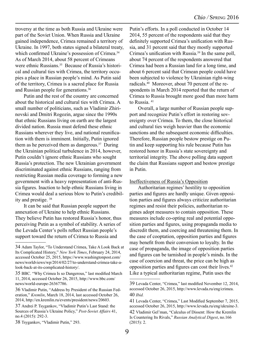troversy at the time as both Russia and Ukraine were part of the Soviet Union. When Russia and Ukraine gained independence, Crimea remained a territory of Ukraine. In 1997, both states signed a bilateral treaty, which confirmed Ukraine's possession of Crimea.<sup>34</sup> As of March 2014, about 58 percent of Crimeans were ethnic Russians.<sup>35</sup> Because of Russia's historical and cultural ties with Crimea, the territory occupies a place in Russian people's mind. As Putin said of the territory, Crimea is a sacred place for Russia and Russian people for generations.36

Putin and the rest of the country are concerned about the historical and cultural ties with Crimea. A small number of politicians, such as Vladimir Zhirinovski and Dmitri Rogozin, argue since the 1990s that ethnic Russians living on earth are the largest divided nation. Russia must defend these ethnic Russians wherever they live, and national reunification with them is imminent. Initially, Putin ignored them as he perceived them as dangerous. $37$  During the Ukrainian political turbulence in 2014, however, Putin couldn't ignore ethnic Russians who sought Russia's protection. The new Ukrainian government discriminated against ethnic Russians, ranging from restricting Russian media coverage to forming a new government with a heavy representation of anti-Russia figures. Inaction to help ethnic Russians living in Crimea would deal a serious blow to Putin's credibility and prestige. 38

It can be said that Russian people support the annexation of Ukraine to help ethnic Russians. They believe Putin has restored Russia's honor, thus perceiving Putin as a symbol of stability. A series of the Levada Center's polls reflect Russian people's support toward the return of Crimea to Russia and

Putin's efforts. In a poll conducted in October 14 2014, 55 percent of the respondents said that they definitely supported Crimea's unification with Russia, and 31 percent said that they mostly supported Crimea's unification with Russia.39 In the same poll, about 74 percent of the respondents answered that Crimea had been a Russian land for a long time, and about 6 percent said that Crimean people could have been subjected to violence by Ukrainian right-wing radicals.40 Moreover, about 70 percent of the respondents in March 2014 reported that the return of Crimea to Russia brought more good than more harm to Russia.<sup>41</sup>

Overall, a large number of Russian people support and recognize Putin's effort in restoring sovereignty over Crimea. To them, the close historical and cultural ties weigh heavier than the economic sanctions and the subsequent economic difficulties. Therefore, Russian people bestow prestige on Putin and keep supporting his rule because Putin has restored honor in Russia's state sovereignty and territorial integrity. The above polling data support the claim that Russians support and bestow prestige in Putin.

#### Ineffectiveness of Russia's Opposition

Authoritarian regimes' hostility to opposition parties and figures are hardly unique. Given opposition parties and figures always criticize authoritarian regimes and resist their policies, authoritarian regimes adopt measures to contain opposition. These measures include co-opting real and potential opposition parties and figures, using propaganda media to discredit them, and coercing and threatening them. In the case of cooptation, opposition parties and figures may benefit from their conversion to loyalty. In the case of propaganda, the image of opposition parties and figures can be tarnished in people's minds. In the case of coercion and threat, the price can be high as opposition parties and figures can cost their lives.42 Like a typical authoritarian regime, Putin uses the

<sup>34</sup> Adam Taylor, "To Understand Crimea, Take A Look Back at Its Complicated History," *New York Times*, February 24, 2014, accessed October 25, 2015, https://www.washingtonpost.com/ news/worldviews/wp/2014/02/27/to-understand-crimea-take-alook-back-at-its-complicated-history/.

<sup>35</sup> BBC. "Why Crimea Is so Dangerous," last modified March 11, 2014, accessed October 26, 2015, http://www.bbc.com/ news/world-europe-26367786.

<sup>36</sup> Vladimir Putin, "Address by President of the Russian Federation," *Kremlin*, March 18, 2014, last accessed October 26, 2014, http://en.kremlin.ru/events/president/news/20603.

<sup>37</sup> Andrei P. Tsygankov, "Vladimir Putin's Last Stand: the Sources of Russia's Ukraine Policy," *Post-Soviet Affairs* 41, no.4 (2015): 292-3.

<sup>38</sup> Tsygankov, "Vladimir Putin," 293.

<sup>39</sup> Levada Center, "Crimea," last modified November 12, 2014, accessed October 26, 2015, http://www.levada.ru/eng/crimea. 40 *Ibid.* 

<sup>41</sup> Levada Center, "Crimea," Last Modified September 7, 2015, accessed October 26, 2015, http://www.levada.ru/eng/ukraine-3. 42 Vladimir Gel'man, "Calculus of Dissent: How the Kremlin Is Countering Its Rivals," *Russian Analytical Digest*, no.166 (2015): 2.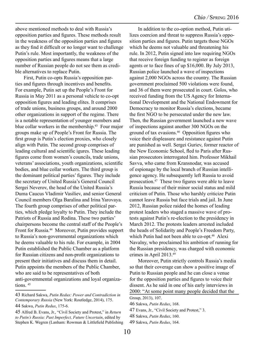above mentioned methods to deal with Russia's opposition parties and figures. These methods result in the weakness of the opposition parties and figures as they find it difficult or no longer want to challenge Putin's rule. Most importantly, the weakness of the opposition parties and figures means that a large number of Russian people do not see them as credible alternatives to replace Putin.

First, Putin co-opts Russia's opposition parties and figures through incentives and benefits. For example, Putin set up the People's Front for Russia in May 2011 as a personal vehicle to co-opt opposition figures and leading elites. It comprises of trade unions, business groups, and around 2000 other organizations in support of the regime. There is a notable representation of younger members and blue collar workers in the membership.<sup>43</sup> Four major groups make up of People's Front for Russia. The first group is Putin's election proxies, who closely align with Putin. The second group comprises of leading cultural and scientific igures. These leading figures come from women's councils, trade unions, veterans' associations, youth organizations, scientific bodies, and blue collar workers. The third group is the dominant political parties' figures. They include the secretary of United Russia's General Council Sergei Neverov, the head of the United Russia's Duma Caucus Vladimir Vasiliev, and senior General Council members Olga Baralina and Irina Yarovaya. The fourth group comprises of other political parties, which pledge loyalty to Putin. They include the Patriots of Russia and Rodina. These two parties' chairpersons become the central staff of the People's Front for Russia.<sup>44</sup> Moreover, Putin provides support to Russia's non-governmental organizations which he deems valuable to his rule. For example, in 2004 Putin established the Public Chamber as a platform for Russian citizens and non-profit organizations to present their initiatives and discuss them in detail. Putin appoints the members of the Public Chamber, who are said to be representatives of both anti-governmental organizations and loyal organizations.  $45$ 

In addition to the co-option method, Putin utilizes coercion and threat to suppress Russia's opposition parties and figures. Putin targets those NGOs which he deems not valuable and threatening his rule. In 2012, Putin signed into law requiring NGOs that receive foreign funding to register as foreign agents or to face fines of up \$16,000. By July 2013, Russian police launched a wave of inspections against 2,000 NGOs across the country. The Russian government proclaimed 500 violations were found, and 36 of them were prosecuted in court. Golos, who received funding from the US Agency for International Development and the National Endowment for Democracy to monitor Russia's elections, became the first NGO to be persecuted under the new law. Then, the Russian government launched a new wave of inspections against another 300 NGOs on the ground of tax evasions.<sup>46</sup> Opposition figures who voice their displeasure and resistance against Putin are punished as well. Sergei Guriev, former reactor of the New Economic School, fled to Paris after Russian prosecutors interrogated him. Professor Mikhail Savva, who came from Kransnodar, was accused of espionage by the local branch of Russian intelligence agency. He subsequently left Russia to avoid prosecution.47 These two figures were able to leave Russia because of their minor social status and mild criticism of Putin. Those who harshly criticize Putin cannot leave Russia but face trials and jail. In June 2012, Russian police raided the homes of leading protest leaders who staged a massive wave of protests against Putin's re-election to the presidency in March 2012. The protests leaders arrested included the heads of Solidarity and People's Freedom Party, which Putin had not been able to co-opt.<sup>48</sup> Alexi Navalny, who proclaimed his ambition of running for the Russian presidency, was charged with economic crimes in April 2013.49

Moreover, Putin strictly controls Russia's media so that their coverage can show a positive image of Putin to Russian people and he can close a venue for the opposition parties and figures to voice their dissent. As he said in one of his early interviews in 2000: "At some point many people decided that the

<sup>43</sup> Richard Sakwa, *Putin Redux: Power and Contradiction in Contemporary Russia* (New York: Routledge, 2014), 175.

<sup>44</sup> Sakwa, *Putin Redux*, 175-6.

<sup>45</sup> Alfred B. Evans, Jr., "Civil Society and Protest," in *Return to Putin's Russia: Past Imperfect, Future Uncertain*, edited by Stephen K. Wegren (Lanham: Rowman & Littlefield Publishing

Group, 2013), 107.

<sup>46</sup> Sakwa, *Putin Redux*, 168.

<sup>47</sup> Evans, Jr., "Civil Society and Protest," 3.

<sup>48</sup> Sakwa, *Putin Redux*, 160.

<sup>49</sup> Sakwa, *Putin Redux*, 164.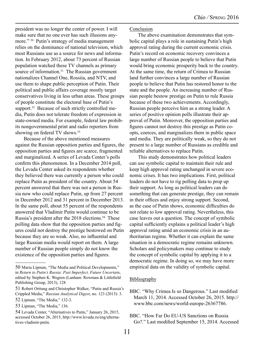president was no longer the center of power. I will make sure that no one ever has such illusions anymore." <sup>50</sup> Putin's strategy of media management relies on the dominance of national television, which most Russians use as a source for news and information. In February 2012, about 73 percent of Russian population watched these TV channels as primary source of information.<sup>51</sup> The Russian government nationalizes Channel One, Rossiia, and NTV, and use them to shape public perception of Putin. Their political and public affairs coverage mostly target conservatives living in less urban areas. These groups of people constitute the electoral base of Putin's support.<sup>52</sup> Because of such strictly controlled media, Putin does not tolerate freedom of expression in state-owned media. For example, federal law prohibits nongovernmental print and radio reporters from showing on federal TV shows.<sup>53</sup>

Because of the above mentioned measures against the Russian opposition parties and figures, the opposition parties and figures are scarce, fragmented and marginalized. A series of Levada Center's polls confirm this phenomenon. In a December 2014 poll, the Levada Center asked its respondents whether they believed there was currently a person who could replace Putin as president of the country. About 54 percent answered that there was not a person in Russia now who could replace Putin, up from 27 percent in December 2012 and 31 percent in December 2013. In the same poll, about 55 percent of the respondents answered that Vladimir Putin would continue to be Russia's president after the 2018 elections.<sup>54</sup> These polling data show that the opposition parties and figures could not destroy the prestige bestowed on Putin because they are so weak. Also, no influential and large Russian media would report on them. A large number of Russian people simply do not know the existence of the opposition parties and figures.

#### Conclusion

The above examination demonstrates that symbolic capital plays a role in sustaining Putin's high approval rating during the current economic crisis. Putin's record on economic recovery convinces a large number of Russian people to believe that Putin would bring economic prosperity back to the country. At the same time, the return of Crimea to Russian land further convinces a large number of Russian people to believe that Putin has restored honor to the state and the people. An increasing number of Russian people bestow prestige on Putin to rule Russia because of these two achievements. Accordingly, Russian people perceive him as a strong leader. A series of positive opinion polls illustrate their approval of Putin. Moreover, the opposition parties and figures cannot not destroy this prestige as Putin coopts, coerces, and marginalizes them in public space and media. They are politically weak, so they do not present to a large number of Russians as credible and reliable alternatives to replace Putin.

This study demonstrates how political leaders can use symbolic capital to maintain their rule and keep high approval rating unchanged in severe economic crises. It has two implications. First, political leaders do not have to rig polling data to prop up their support. As long as political leaders can do something that can generate prestige, they can remain in their offices and enjoy strong support. Second, as the case of Putin shows, economic difficulties do not relate to low approval rating. Nevertheless, this case leaves out a question. The concept of symbolic capital sufficiently explains a political leader's high approval rating amid an economic crisis in an authoritarian regime. Whether it can explain the same situation in a democratic regime remains unknown. Scholars and policymakers may continue to study the concept of symbolic capital by applying it to a democratic regime. In doing so, we may have more empirical data on the validity of symbolic capital.

#### **Bibliography**

- BBC. "Why Crimea Is so Dangerous." Last modified March 11, 2014. Accessed October 26, 2015. http:// www.bbc.com/news/world-europe-26367786.
- BBC. "How Far Do EU-US Sanctions on Russia Go?." Last modified September 15, 2014. Accessed

<sup>50</sup> Maria Lipman, "The Media and Political Developments," in *Return to Putin's Russia: Past Imperfect, Future Uncertain*, edited by Stephen K. Wegren (Lanham: Rowman & Littlefield Publishing Group, 2013), 128

<sup>51</sup> Robert Orttung and Christopher Walker, "Putin and Russia's Crippled Media," *Russian Analytical Digest*, no. 123 (2013): 3.

<sup>52</sup> Lipman, "The Media," 132-3.

<sup>53</sup> Lipman, "The Media," 136.

<sup>54</sup> Levada Center, "Alternatives to Putin," January 26, 2015, accessed October 26, 2015, http://www.levada.ru/eng/alternatives-vladimir-putin.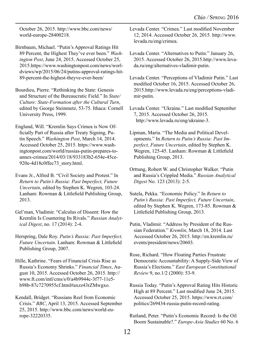October 26, 2015. http://www.bbc.com/news/ world-europe-28400218.

Birnbaum, Michael. "Putin's Approval Ratings Hit 89 Percent, the Highest They've ever been." *Washington Post*, June 24, 2015. Accessed October 25, 2015.https://www.washingtonpost.com/news/worldviews/wp/2015/06/24/putins-approval-ratings-hit-89-percent-the-highest-theyve-ever-been/

Bourdieu, Pierre. "Rethinking the State: Genesis and Structure of the Bureaucratic Field." In *State/ Culture: State-Formation after the Cultural Turn*, edited by George Steinmetz, 53-75. Ithaca: Cornell University Press, 1999.

Englund, Will. "Kremlin Says Crimea is Now Officially Part of Russia after Treaty Signing, Putin Speech." *Washington Post*, March 14, 2014. Accessed October 25, 2015. https://www.washingtonpost.com/world/russias-putin-prepares-toannex-crimea/2014/03/18/933183b2-654e-45ce-920e-4d18c0ffec73\_story.html.

Evans Jr., Alfred B. "Civil Society and Protest." In *Return to Putin's Russia: Past Imperfect, Future Uncertain*, edited by Stephen K. Wegren, 103-24. Lanham: Rowman & Littlefield Publishing Group, 2013.

Gel'man, Vladimir. "Calculus of Dissent: How the Kremlin Is Countering Its Rivals." *Russian Analytical Digest*, no. 17 (2014): 2-4.

Herspring, Dale Roy. *Putin's Russia: Past Imperfect, Future Uncertain*. Lanham: Rowman & Littlefield Publishing Group, 2007.

Hille, Kathrine. "Fears of Financial Crisis Rise as Russia's Economy Shrinks." *Financial Times*, August 10, 2015. Accessed October 26, 2015. http:// www.ft.com/intl/cms/s/0/a4b9944c-3f77-11e5 b98b-87c7270955cf.html#axzz43rZMwgxo.

Kendall, Bridget. "Russians Reel from Economic Crisis." *BBC*, April 13, 2015. Accessed September 25, 2015. http://www.bbc.com/news/world-europe-32220335.

Levada Center. "Crimea." Last modified November 12, 2014. Accessed October 26, 2015. http://www. levada.ru/eng/crimea.

- Levada Center. "Alternatives to Putin." January 26, 2015. Accessed October 26, 2015.http://www.levada.ru/eng/alternatives-vladimir-putin.
- Levada Center. "Perceptions of Vladimir Putin." Last modified October 16, 2015. Accessed October 26, 2015.http://www.levada.ru/eng/perceptions-vladimir-putin.
- Levada Center. "Ukraine." Last modified September 7, 2015. Accessed October 26, 2015. http://www.levada.ru/eng/ukraine-3.

Lipman, Maria. "The Media and Political Developments." In *Return to Putin's Russia: Past Imperfect, Future Uncertain*, edited by Stephen K. Wegren, 125-45. Lanham: Rowman & Littlefield Publishing Group, 2013.

- Orttung, Robert W. and Christopher Walker. "Putin and Russia's Crippled Media." *Russian Analytical Digest* No. 123 (2013): 2-5.
- Sutela, Pekka. "Economic Policy." In *Return to Putin's Russia: Past Imperfect, Future Uncertain*, edited by Stephen K. Wegren, 173-85. Rowman & Littlefield Publishing Group, 2013.
- Putin, Vladimir. "Address by President of the Russian Federation." *Kremlin*, March 18, 2014. Last Accessed October 26, 2015. http://en.kremlin.ru/ events/president/news/20603.
- Rose, Richard. "How Floating Parties Frustrate Democratic Accountability: A Supply-Side View of Russia's Elections." *East European Constitutional Review* 9, no.1/2 (2000): 53-9.
- Russia Today. "Putin's Approval Rating Hits Historic High at 89 Percent." Last modified June 24, 2015. Accessed October 25, 2015. https://www.rt.com/ politics/269434-russia-putin-record-rating.
- Rutland, Peter. "Putin's Economic Record: Is the Oil Boom Sustainable?." *Europe-Asia Studies* 60 No. 6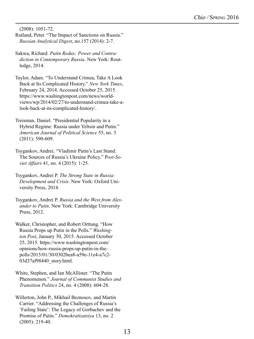(2008): 1051-72.

- Rutland, Peter. "The Impact of Sanctions on Russia." *Russian Analytical Digest*, no.157 (2014): 2-7.
- Sakwa, Richard. *Putin Redux: Power and Contradiction in Contemporary Russia*. New York: Routledge, 2014.
- Taylor, Adam. "To Understand Crimea, Take A Look Back at Its Complicated History." *New York Times*, February 24, 2014. Accessed October 25, 2015. https://www.washingtonpost.com/news/worldviews/wp/2014/02/27/to-understand-crimea-take-alook-back-at-its-complicated-history/.
- Treisman, Daniel. "Presidential Popularity in a Hybrid Regime: Russia under Yeltsin and Putin." *American Journal of Political Science* 55, no. 3 (2011): 590-609.
- Tsygankov, Andrei. "Vladimir Putin's Last Stand: The Sources of Russia's Ukraine Policy." P*ost-Soviet Affairs* 41, no. 4 (2015): 1-25.
- Tsygankov, Andrei P. *The Strong State in Russia: Development and Crisis*. New York: Oxford University Press, 2014.
- Tsygankov, Andrei P. *Russia and the West from Alexander to Putin*. New York: Cambridge University Press, 2012.
- Walker, Christopher, and Robert Orttung. "How Russia Props up Putin in the Polls." *Washington Post*, January 30, 2015. Accessed October 25, 2015. https://www.washingtonpost.com/ opinions/how-russia-props-up-putin-in-thepolls/2015/01/30/0302bea8-a59e-11e4-a7c2- 03d37af98440\_story.html.
- White, Stephen, and Ian McAllister. "The Putin Phenomenon." *Journal of Communist Studies and Transition Politics* 24, no. 4 (2008): 604-28.
- Willerton, John P., Mikhail Beznosov, and Martin Carrier. "Addressing the Challenges of Russia's 'Failing State': The Legacy of Gorbachev and the Promise of Putin." *Demokratizatsiya* 13, no. 2 (2005): 219-40.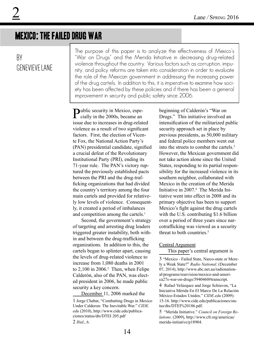## Mexico: The Failed Drug War

### By Genevieve Lane

The purpose of this paper is to analyze the effectiveness of Mexico's "War on Drugs" and the Merida Initiative in decreasing drug-related violence throughout the country. Various factors such as corruption, impunity, and policy reforms are taken into consideration in order to evaluate the role of the Mexican government in addressing the increasing power of the drug cartels. In addition to this, it is imperative to examine how society has been affected by these policies and if there has been a general improvement in security and public safety since 2006.

Public security in Mexico, espe-cially in the 2000s, became an issue due to increases in drug-related violence as a result of two significant factors. First, the election of Vicente Fox, the National Action Party's (PAN) presidential candidate, signified a crucial defeat of the Revolutionary Institutional Party (PRI), ending its 71-year rule. The PAN's victory ruptured the previously established pacts between the PRI and the drug-trafficking organizations that had divided the country's territory among the four main cartels and provided for relatively low levels of violence. Consequently, it created a period of imbalances and competition among the cartels.<sup>1</sup>

Second, the government's strategy of targeting and arresting drug leaders triggered greater instability, both within and between the drug-trafficking organizations. In addition to this, the cartels began to splinter apart, causing the levels of drug-related violence to increase from 1,080 deaths in 2001 to  $2,100$  in  $2006.<sup>2</sup>$  Then, when Felipe Calderón, also of the PAN, was elected president in 2006, he made public security a key concern.

December 11, 2006 marked the

2 *Ibid*., 6.

beginning of Calderón's "War on Drugs." This initiative involved an intensification of the militarized public security approach set in place by previous presidents, as 50,000 military and federal police members went out into the streets to combat the cartels.3 However, the Mexican government did not take action alone since the United States, responding to its partial responsibility for the increased violence in its southern neighbor, collaborated with Mexico in the creation of the Merida Initiative in 2007.4 The Merida Initiative went into effect in 2008 and its primary objective has been to support Mexico's fight against the drug cartels with the U.S. contributing \$1.6 billion over a period of three years since narcotrafficking was viewed as a security threat to both countries.<sup>5</sup>

#### Central Argument

This paper's central argument is

<sup>1</sup> Jorge Chabat, "Combatting Drugs in Mexico Under Calderon: The Inevitable War." *CIDE. edu* (2010), http://www.cide.edu/publicaciones/status/dts/DTEI 205.pdf

<sup>3</sup> "Mexico - Failed State, Narco-state or Merely a Weak State?" *Radio National*. (December 07, 2014), http://www.abc.net.au/radionational/programs/rearvision/mexico-and-america27s-war-on-drugs/5940460#transcript.

<sup>4</sup> Rafael Velázquez and Jorge Schiavon, "La Iniciativa Mérida En El Marco De La Relación México-Estados Unidos." *CIDE.edu* (2009): 15-16. http://www.cide.edu/publicaciones/status/dts/DTEI%20186.pdf.

<sup>5 &</sup>quot;Merida Initiative." *Council on Foreign Relations*. (2009), http://www.cfr.org/americas/ merida-initiative/p18904.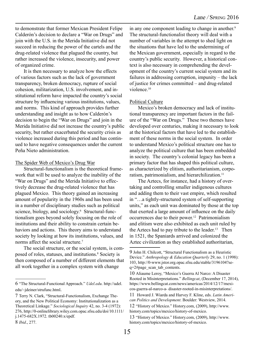to demonstrate that former Mexican President Felipe Calderón's decision to declare a "War on Drugs" and join with the U.S. in the Merida Initiative did not succeed in reducing the power of the cartels and the drug-related violence that plagued the country, but rather increased the violence, insecurity, and power of organized crime.

It is then necessary to analyze how the effects of various factors such as the lack of government transparency, broken democracy, rupture of social cohesion, militarization, U.S. involvement, and institutional reform have impacted the country's social structure by influencing various institutions, values, and norms. This kind of approach provides further understanding and insight as to how Calderón's decision to begin the "War on Drugs" and join in the Merida Initiative did not increase the country's public security, but rather exacerbated the security crisis as violence increased during this period and has continued to have negative consequences under the current Peña Nieto administration.

#### The Spider Web of Mexico's Drug War

Structural-functionalism is the theoretical framework that will be used to analyze the inability of the "War on Drugs" and the Merida Initiative to effectively decrease the drug-related violence that has plagued Mexico. This theory gained an increasing amount of popularity in the 1960s and has been used in a number of disciplinary studies such as political science, biology, and sociology.<sup>6</sup> Structural-functionalism goes beyond solely focusing on the role of institutions and their ability to constrain certain behaviors and actions. This theory aims to understand society by looking at how its institutions, values, and norms affect the social structure.<sup>7</sup>

The social structure, or the social system, is composed of roles, statuses, and institutions.<sup>8</sup> Society is then composed of a number of different elements that all work together in a complex system with change

8 *Ibid*., 277.

in any one component leading to change in another.<sup>9</sup> The structural-functionalist theory will deal with a number of variables in the attempt to shed light on the situations that have led to the undermining of the Mexican government, especially in regard to the country's public security. However, a historical context is also necessary in comprehending the development of the country's current social system and its failures in addressing corruption, impunity – the lack of justice for crimes committed – and drug-related violence<sup>10</sup>

#### Political Culture

Mexico's broken democracy and lack of institutional transparency are important factors in the failure of the "War on Drugs." These two themes have developed over centuries, making it necessary to look at the historical factors that have led to the establishment of these norms in the social system. In order to understand Mexico's political structure one has to analyze the political culture that has been embedded in society. The country's colonial legacy has been a primary factor that has shaped this political culture, as characterized by elitism, authoritarianism, corporatism, patrimonialism, and hierarchilization.<sup>11</sup>

The Aztecs, for instance, had a history of overtaking and controlling smaller indigenous cultures and adding them to their vast empire, which resulted in "…a tightly-structured system of self-supporting units," as each unit was dominated by those at the top that exerted a large amount of influence on the daily occurrences due to their power.12 Patrimonialism and elitism were also exhibited as each unit ruled by the Aztecs had to pay tribute to the leader.<sup>13</sup> Then in 1521, the Spaniards arrived and colonized the Aztec civilization as they established authoritarian,

<sup>6 &</sup>quot;The Structural-Functional Approach." *Udel.edu*. http://udel. edu/~jdeiner/strufunc.html.

<sup>7</sup> Terry N. Clark, "Structural-Functionalism, Exchange Theory, and the New Political Economy: Institutionalization as a Theoretical Linkage." *Sociological Inquiry* 42, no. 3-4 (1972): 276, http://0-onlinelibrary.wiley.com.opac.sfsu.edu/doi/10.1111/ j.1475-682X.1972. tb00240.x/epdf.

<sup>9</sup> John H. Chilcott, "Structural Functionalism as a Heuristic Device." *Anthropology & Education Quarterly* 29, no. 1 (1998): 103, http://0-www.jstor.org.opac.sfsu.edu/stable/3196104?seq=2#page\_scan\_tab\_contents.

<sup>10</sup> Aliaume Leroy, "Mexico's Guerra Al Narco: A Disaster Rooted in Misinterpretations." *Bellingcat*, (December 17, 2014), https://www.bellingcat.com/news/americas/2014/12/17/mexicos-guerra-al-narco-a- disaster-rooted-in-misinterpretations/.

<sup>11</sup> Howard J. Wiarda and Harvey F. Kline, eds. *Latin American Politics and Development*. Boulder: Westview, 2014.

<sup>12</sup> "History of Mexico." History.com, (2009), http://www. history.com/topics/mexico/history-of-mexico.

<sup>13</sup> "History of Mexico." History.com, (2009), http://www. history.com/topics/mexico/history-of-mexico.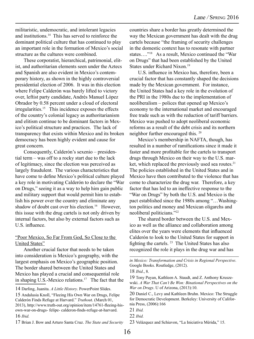militaristic, undemocratic, and intolerant legacies and institutions.14 This has served to reinforce the dominant political culture that has continued to play an important role in the formation of Mexico's social structure as the cultures were combined.

These corporatist, hierarchical, patrimonial, elitist, and authoritarian elements seen under the Aztecs and Spanish are also evident in Mexico's contemporary history, as shown in the highly controversial presidential election of 2006. It was in this election where Felipe Calderón was barely lifted to victory over, leftist party candidate, Andrés Manuel López Obrador by 0.58 percent under a cloud of electoral irregularities.<sup>15</sup> This incidence exposes the effects of the country's colonial legacy as authoritarianism and elitism continue to be dominant factors in Mexico's political structure and practices. The lack of transparency that exists within Mexico and its broken democracy has been highly evident and cause for great concern.

Consequently, Calderón's sexenio – presidential term – was off to a rocky start due to the lack of legitimacy, since the election was perceived as largely fraudulent. The various characteristics that have come to define Mexico's political culture played a key role in motivating Calderón to declare the "War on Drugs," seeing it as a way to help him gain public and military support that would permit him to establish his power over the country and eliminate any shadow of doubt cast over his election.<sup>16</sup> However, this issue with the drug cartels is not only driven by internal factors, but also by external factors such as U.S. influence.

#### "Poor Mexico, So Far From God, So Close to the United States"

Another crucial factor that needs to be taken into consideration is Mexico's geography, with the largest emphasis on Mexico's geographic position. The border shared between the United States and Mexico has played a crucial and consequential role in shaping U.S.-Mexico relations.<sup>17</sup> The fact that the

14 Darling, Juanita. *A Little History*. PowerPoint Slides.

15 Andalusia Knoll, "Fleeing His Own War on Drugs, Felipe Calderón Finds Refuge at Harvard." *Truthou*t. (March 01, 2013), http://www.truth-out.org/opinion/item/14761-fleeing-hisown-war-on-drugs- felipe- calderon-finds-refuge-at-harvard. 16 *Ibid.* 

17 Brian J. Bow and Arturo Santa Cruz. *The State and Security* 

countries share a border has greatly determined the way the Mexican government has dealt with the drug cartels because "the framing of security challenges in the domestic context has to resonate with partner states…."18 As a result, Mexico continued the "War on Drugs" that had been established by the United States under Richard Nixon.<sup>19</sup>

U.S. influence in Mexico has, therefore, been a crucial factor that has constantly shaped the decisions made by the Mexican government. For instance, the United States had a key role in the evolution of the PRI in the 1980s due to the implementation of neoliberalism – polices that opened up Mexico's economy to the international market and encouraged free trade such as with the reduction of tariff barriers. Mexico was pushed to adopt neoliberal economic reforms as a result of the debt crisis and its northern neighbor further encouraged this. 20

Mexico's membership in NAFTA, though, has resulted in a number of ramifications since it made it faster and more profitable for the cartels to transport drugs through Mexico on their way to the U.S. market, which replaced the previously used sea routes.<sup>21</sup> The policies established in the United States and in Mexico have then contributed to the violence that has come to characterize the drug war. Therefore, a key factor that has led to an ineffective response to the "War on Drugs" by both the U.S. and Mexico is the pact established since the 1980s among "…Washington politics and money and Mexican oligarchs and neoliberal politicians."22

The shared border between the U.S. and Mexico as well as the alliance and collaboration among elites over the years were elements that influenced Calderón to look to the United States for support in fighting the cartels. 23 The United States has also recognized the role it plays in the drug war and has

*in Mexico: Transformation and Crisis in Regional Perspective*. Google Books. Routledge, (2012).

<sup>18</sup> *Ibid*., 8.

<sup>19</sup> Tony Payan, Kathleen A. Staudt, and Z. Anthony Kruszewski. *A War That Can't Be Won: Binational Perspectives on the War on Drugs*. U of Arizona, (2013):10.

<sup>20</sup> Daniel C., Levy and Kathleen Bruhn. Mexico: The Struggle for Democratic Development. Berkeley: University of California Press, (2006):166

<sup>21</sup> *Ibid.* 

<sup>22</sup> *Ibid.*

<sup>23</sup> Velázquez and Schiavon, "La Iniciativa Mérida," 15.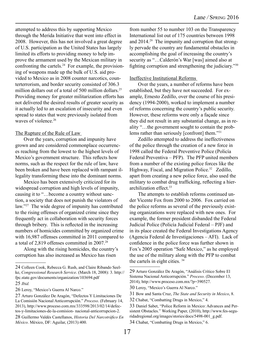attempted to address this by supporting Mexico through the Merida Initiative that went into effect in 2008. However, this has not involved a great degree of U.S. participation as the United States has largely limited its efforts to providing money to help improve the armament used by the Mexican military in confronting the cartels.<sup>24</sup> For example, the provisioning of weapons made up the bulk of U.S. aid provided to Mexico as in 2008 counter narcotics, counterterrorism, and border security consisted of 306.3 million dollars out of a total of 500 million dollars.<sup>25</sup> Providing money for greater militarization efforts has not delivered the desired results of greater security as it actually led to an escalation of insecurity and even spread to states that were previously isolated from waves of violence.<sup>26</sup>

#### The Rupture of the Rule of Law

Over the years, corruption and impunity have grown and are considered commonplace occurrences reaching from the lowest to the highest levels of Mexico's government structure. This reflects how norms, such as the respect for the rule of law, have been broken and have been replaced with rampant illegality transforming these into the dominant norms.

Mexico has been extensively criticized for its widespread corruption and high levels of impunity, causing it to "…become a country without sanction, a society that does not punish the violators of law."27 The wide degree of impunity has contributed to the rising offenses of organized crime since they frequently act in collaboration with security forces through bribery. This is reflected in the increasing numbers of homicides committed by organized crime with 16,987 offenses committed in 2011 compared to a total of 2,819 offenses committed in 2007.28

Along with the rising homicides, the country's corruption has also increased as Mexico has risen

from number 55 to number 103 on the Transparency International list out of 175 countries between 1998 and 2014.29 The impunity and corruption that strongly pervade the country are fundamental obstacles in accomplishing the goal of increasing the country's security as "...Calderón's War [was] aimed also at fighting corruption and strengthening the judiciary."<sup>30</sup>

#### Ineffective Institutional Reforms

Over the years, a number of reforms have been established, but they have not succeeded. For example, Ernesto Zedillo, over the course of his presidency (1994-2000), worked to implement a number of reforms concerning the country's public security. However, these reforms were only a façade since they did not result in any substantial change, as in reality "…the government sought to contain the problems rather than seriously [confront] them."31

Zedillo attempted to address the ineffectiveness of the police through the creation of a new force in 1998 called the Federal Preventive Police (Policía Federal Preventiva – PFP). The PFP united members from a number of the existing police forces like the Highway, Fiscal, and Migration Police.<sup>32</sup> Zedillo, apart from creating a new police force, also used the military to combat drug trafficking, reflecting a hierarchilization effect.33

The attempts to establish reforms continued under Vicente Fox from 2000 to 2006. Fox carried on the police reforms as several of the previously existing organizations were replaced with new ones. For example, the former president disbanded the Federal Judicial Police (Policía Judicial Federal – PJF) and in its place created the Federal Investigations Agency (Agencia Federal de Investigaciones – AFI). Lack of confidence in the police force was further shown in Fox's 2005 operation "Safe Mexico," as he employed the use of the military along with the PFP to combat the cartels in eight cities. 34

<sup>24</sup> Colleen Cook, Rebecca G. Rush, and Claire Ribando Seelke, *Congressional Research Service*. (March 18, 2008): 3. http:// fpc.state.gov/documents/organization/103694.pdf 25 *Ibid.* 

<sup>26</sup> Leroy, "Mexico's Guerra Al Narco."

<sup>27</sup> Arturo González De Aragón, "Defectos Y Limitaciones De La Comisión Nacional Anticorrupción." *Proceso*. (February 14, 2013), http://www.proceso.com.mx/333598/2013/02/14/defectos-y-limitaciones-de-la-comision- nacional-anticorrupcion-2.

<sup>28</sup> Guillermo Valdés Castellanos, *Historia Del Narcotráfico En México*. México, DF: Aguilar, (2013):400.

<sup>29</sup> Arturo González De Aragón, "Análisis Crítico Sobre El Sistema Nacional Anticorrupción." *Proceso*. (December 13, 2014), http://www.proceso.com.mx/?p=390527.

<sup>30</sup> Leroy, "Mexico's Guerra Al Narco."

<sup>31</sup> Bow and Santa Cruz, *The State and Security in Mexico*, 8.

<sup>32</sup> Chabat, "Combatting Drugs in Mexico," 4.

<sup>33</sup> Daniel Sabet, "Police Reform in Mexico: Advances and Persistent Obstacles." Working Paper, (2010), http://www.fes-seguridadregional.org/images/stories/docs/5498-001\_g.pdf.

<sup>34</sup> Chabat, "Combatting Drugs in Mexico," 6.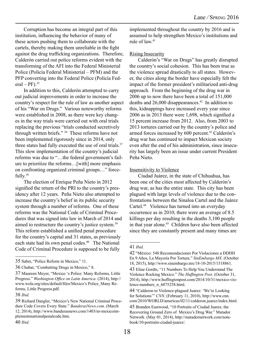Corruption has become an integral part of this institution, influencing the behavior of many of these actors pushing them to collaborate with the cartels, thereby making them unreliable in the fight against the drug trafficking organizations. Therefore, Calderón carried out police reforms evident with the transforming of the AFI into the Federal Ministerial Police (Policía Federal Ministerial – PFM) and the PFP converting into the Federal Police (Policía Fed $eral - PF)$ .<sup>35</sup>

In addition to this, Calderón attempted to carry out judicial improvements in order to increase the country's respect for the rule of law as another aspect of his "War on Drugs." Various noteworthy reforms were established in 2008, as there were key changes in the way trials were carried out with oral trials replacing the previous "trials conducted secretively through written briefs." 36 These reforms have not been implemented rigorously since in 2014, only three states had fully executed the use of oral trials.<sup>37</sup> This slow implementation of the country's judicial reforms was due to "…the federal government's failure to prioritize the reforms…[with] more emphasis on confronting organized criminal groups…" forcefully.38

The election of Enrique Peña Nieto in 2012 signified the return of the PRI to the country's presidency after 12 years. Peña Nieto also attempted to increase the country's belief in its public security system through a number of reforms. One of these reforms was the National Code of Criminal Procedures that was signed into law in March of 2014 and aimed to restructure the country's justice system.<sup>39</sup> This reform established a unified penal procedure for the country's capital and 31 states, as previously each state had its own penal codes.<sup>40</sup> The National Code of Criminal Procedure is supposed to be fully

implemented throughout the country by 2016 and is assumed to help strengthen Mexico's institutions and rule of law.41

#### Rising Insecurity

Calderón's "War on Drugs" has greatly disrupted the country's social cohesion. This has been true as the violence spread drastically to all states. However, the cities along the border have especially felt the impact of the former president's militarized anti-drug approach. From the beginning of the drug war in 2006 up to now there have been a total of 151,000 deaths and  $26,000$  disappearances.<sup>42</sup> In addition to this, kidnappings have increased every year since 2006 as in 2013 there were 1,698, which signified a 15 percent increase from 2012. Also, from 2003 to 2013 tortures carried out by the country's police and armed forces increased by 600 percent.<sup>43</sup> Calderón's drug war has continued to impact Mexican society even after the end of his administration, since insecurity has largely been an issue under current President Peña Nieto.

#### Insensitivity to Violence

Ciudad Juárez, in the state of Chihuahua, has been one of the cities most affected by Calderón's drug war, as has the entire state. This city has been plagued with large levels of violence due to the confrontations between the Sinaloa Cartel and the Juárez Cartel.<sup>44</sup> Violence has turned into an everyday occurrence as in 2010; there were an average of 8.5 killings per day resulting in the deaths 3,100 people in that year alone.<sup>45</sup> Children have also been affected since they are constantly present and many times are

<sup>35</sup> Sabet, "Police Reform in Mexico," 11.

<sup>36</sup> Chabat, "Combatting Drugs in Mexico," 8.

<sup>37</sup> Maureen Meyer, "Mexico 's Police: Many Reforms, Little Progress." *Washington Office on Latin America*. (2014), http:// www.wola.org/sites/default/files/Mexico's Police\_Many Reforms, Little Progress.pdf.

<sup>38</sup> *Ibid.*

<sup>39</sup> Richard Dangler, "Mexico's New National Criminal Procedure Code Covers Every State." *BanderasNews.com*. (March 12, 2014), http://www.banderasnews.com/1403/nr-mexicoimplementsnationalpenalcode.htm.

<sup>40</sup> *Ibid.* 

<sup>41</sup> *Ibid.* 

<sup>42</sup> "México: 548 Recomendaciones Por Violaciones a DDHH En 9 Años, La Mayoría Por Tortura." *SinEmbargo MX*. (October 18, 2015), http://www.sinembargo.mx/18-10-2015/1518861.

<sup>43</sup> Eline Gordts, "11 Numbers To Help You Understand The Violence Rocking Mexico." *The Huffington Post*. (October 31, 2014), http://www.huffingtonpost.com/2014/10/31/mexico-violence-numbers\_n\_6075258.html.

<sup>44 &</sup>quot;Calderon to Violence-plagued Juarez: 'We're Looking for Solutions'" *CNN*. (February 11, 2010), http://www.cnn. com/2010/WORLD/americas/02/11/calderon.juarez/index.html.

<sup>45</sup> Branden Eastwood, "10 Portraits of Ciudad Juarez, the Recovering Ground Zero of Mexico's Drug War." Matador Network. (May 01, 2014), http://matadornetwork.com/notebook/10-portraits-ciudad-juarez/.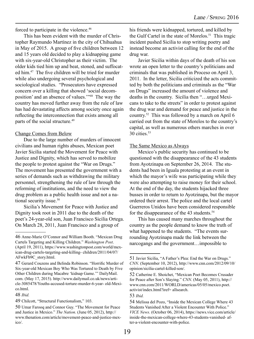forced to participate in the violence.46

This has been evident with the murder of Christopher Raymundo Martínez in the city of Chihuahua in May of 2015. A group of five children between 12 and 15 years old decided to play a kidnapping game with six-year-old Christopher as their victim. The older kids tied him up and beat, stoned, and suffocated him.47 The five children will be tried for murder while also undergoing several psychological and sociological studies. "Prosecutors have expressed concern over a killing that showed 'social decomposition' and an absence of values.'"48 The way the country has moved further away from the rule of law has had devastating affects among society once again reflecting the interconnection that exists among all parts of the social structure.<sup>49</sup>

#### Change Comes from Below

Due to the large number of murders of innocent civilians and human rights abuses, Mexican poet Javier Sicilia started the Movement for Peace with Justice and Dignity, which has served to mobilize the people to protest against the "War on Drugs." The movement has presented the government with a series of demands such as withdrawing the military personnel, strengthening the rule of law through the reforming of institutions, and the need to view the drug problem as a public health issue and not a national security issue.<sup>50</sup>

Sicilia's Movement for Peace with Justice and Dignity took root in 2011 due to the death of the poet's 24-year-old son, Juan Francisco Sicilia Ortega. On March 28, 2011, Juan Francisco and a group of

his friends were kidnapped, tortured, and killed by the Gulf Cartel in the state of Morelos.<sup>51</sup> This tragic incident pushed Sicilia to stop writing poetry and instead become an activist calling for the end of the drug war.

Javier Sicilia within days of the death of his son wrote an open letter to the country's politicians and criminals that was published in Proceso on April 3, 2011. In the letter, Sicilia criticized the acts committed by both the politicians and criminals as the "War on Drugs" increased the amount of violence and deaths in the country. Sicilia then "…urged Mexicans to take to the streets" in order to protest against the drug war and demand for peace and justice in the country.52 This was followed by a march on April 6 carried out from the state of Morelos to the country's capital, as well as numerous others marches in over 30 cities.<sup>53</sup>

#### The Same Mexico as Always

Mexico's public security has continued to be questioned with the disappearance of the 43 students from Ayotzinapa on September 26, 2014. The students had been in Iguala protesting at an event in which the mayor's wife was participating while they were also attempting to raise money for their school. At the end of the day, the students hijacked three busses in order to return to Ayotzinapa, but the mayor ordered their arrest. The police and the local cartel Guerreros Unidos have been considered responsible for the disappearance of the 43 students.<sup>54</sup>

This has caused many marches throughout the country as the people demand to know the truth of what happened to the students. "The events surrounding Ayotzinapa made the link between the narcogangs and the government…impossible to

<sup>46</sup> Anne-Marie O'Connor and William Booth. "Mexican Drug Cartels Targeting and Killing Children." *Washington Post*. (April 19, 2011), https://www.washingtonpost.com/world/mexican-drug-cartels-targeting-and-killing- children/2011/04/07/ AFwkFb9C\_story.html.

<sup>47</sup> Gerard Couzens and Belinda Robinson. "Horrific Murder of Six-year-old Mexican Boy Who Was Tortured to Death by Five Other Children during Macabre 'kidnap Game.'" DailyMail. com. (May 17, 2015). http://www.dailymail.co.uk/news/article-3085478/Youths-accused-torture-murder-6-year- old-Mexico.html.

<sup>48</sup> *Ibid.* 

<sup>49</sup> Chilcott, "Structural Functionalism," 103.

<sup>50</sup> Umar Farooq and Connor Guy. "The Movement for Peace and Justice in Mexico." *The Nation*. (June 05, 2012), http:// www.thenation.com/article/movement-peace-and-justice-mexico/.

<sup>51</sup> Javier Sicilia, "A Father's Plea: End the War on Drugs." *CNN*. (September 10, 2012), http://www.cnn.com/2012/09/10/ opinion/sicilia-cartel-killed-son/.

<sup>52</sup> Catherine E. Shoichet, "Mexican Poet Becomes Crusader for Peace after Son's Slaying." *CNN*. (May 05, 2011), http:// www.cnn.com/2011/WORLD/americas/05/05/mexico.poet. activist/index.html?iref= allsearch.

<sup>53</sup> *Ibid.* 

<sup>54</sup> Melissa del Pozo, "Inside the Mexican College Where 43 Students Vanished After a Violent Encounter With Police." *VICE News*. (October 06, 2014), https://news.vice.com/article/ inside-the-mexican-college-where-43-students-vanished- after-a-violent-encounter-with-police.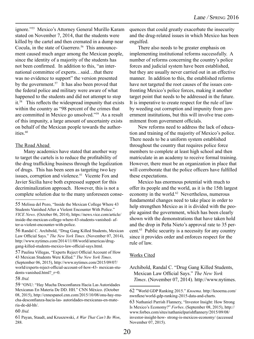ignore."55 Mexico's Attorney General Murillo Karam stated on November 7, 2014, that the students were killed by the cartel and then cremated in a dump near Cocula, in the state of Guerrero.<sup>56</sup> This announcement caused much anger among the Mexican people, since the identity of a majority of the students has not been confirmed. In addition to this, "an international committee of experts…said…that there was no evidence to support" the version presented by the government.<sup>57</sup> It has also been proved that the federal police and military were aware of what happened to the students and did not attempt to stop it.58 This reflects the widespread impunity that exists within the country as "98 percent of the crimes that are committed in Mexico go unsolved."59 As a result of this impunity, a large amount of uncertainty exists on behalf of the Mexican people towards the authorities.<sup>60</sup>

#### The Road Ahead

Many academics have stated that another way to target the cartels is to reduce the profitability of the drug trafficking business through the legalization of drugs. This has been seen as targeting two key issues, corruption and violence.<sup>61</sup> Vicente Fox and Javier Sicilia have both expressed support for this decriminalization approach. However, this is not a complete solution due to the many unforeseen conse-

58 *Ibid.*

quences that could greatly exacerbate the insecurity and the drug-related issues in which Mexico has been engulfed.

There also needs to be greater emphasis on implementing institutional reforms successfully. A number of reforms concerning the country's police forces and judicial system have been established, but they are usually never carried out in an effective manner. In addition to this, the established reforms have not targeted the root causes of the issues confronting Mexico's police forces, making it another target point that needs to be addressed in the future. It is imperative to create respect for the rule of law by weeding out corruption and impunity from government institutions, but this will involve true commitment from government officials.

New reforms need to address the lack of education and training of the majority of Mexico's police. There needs to be a uniform system established throughout the country that requires police force members to complete at least high school and then matriculate in an academy to receive formal training. However, there must be an organization in place that will corroborate that the police officers have fulfilled these expectations.

Mexico has enormous potential with much to offer its people and the world, as it is the 15th largest economy in the world.<sup>62</sup> Nevertheless, numerous fundamental changes need to take place in order to help strengthen Mexico as it is divided with the people against the government, which has been clearly shown with the demonstrations that have taken hold and the drop in Peña Nieto's approval rate to 35 percent.63 Public security is a necessity for any country since it provides order and enforces respect for the rule of law.

#### Works Cited

<sup>55</sup> Melissa del Pozo, "Inside the Mexican College Where 43 Students Vanished After a Violent Encounter With Police." *VICE News*. (October 06, 2014), https://news.vice.com/article/ inside-the-mexican-college-where-43-students-vanished- after-a-violent-encounter-with-police.

<sup>56</sup> Randal C. Archibold, "Drug Gang Killed Students, Mexican Law Official Says." *The New York Times*. (November 07, 2014), http://www.nytimes.com/2014/11/08/world/americas/druggang-killed-students-mexico-law-official-says.html.

<sup>57</sup> Paulina Villegas, "Experts Reject Official Account of How 43 Mexican Students Were Killed." *The New York Times*. (September 06, 2015), http://www.nytimes.com/2015/09/07/ world/experts-reject-official-account-of-how-43- mexican-students-vanished.html? r=0.

<sup>59</sup> "ONU: "Hay Mucha Desconfianza Hacia Las Autoridades Mexicanas En Materia De DD. HH." CNN México. (October 08, 2015), http://cnnespanol.cnn.com/2015/10/08/onu-hay-mucha-desconfianza-hacia-las- autoridades-mexicanas-en-materia-de-dd-hh/.

<sup>60</sup> *Ibid.*

<sup>61</sup> Payan, Staudt, and Kruszewski, *A War That Can't Be Won*, 288.

Archibold, Randal C. "Drug Gang Killed Students, Mexican Law Official Says." *The New York Times*. (November 07, 2014). http://www.nytimes.

<sup>62 &</sup>quot;World GDP Ranking 2015." *Knoema*. http://knoema.com/ nwnfkne/world-gdp-ranking-2015-data-and-charts.

<sup>63</sup> Nathaniel Parrish Flannery, "Investor Insight: How Strong Is Mexico's Economy?" *Forbes*. (September 08, 2015), http:// www.forbes.com/sites/nathanielparishflannery/2015/09/08/ investor-insight-how- strong-is-mexicos-economy/ (accessed November 07, 2015).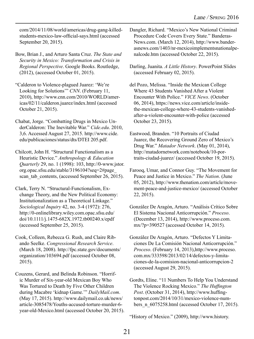com/2014/11/08/world/americas/drug-gang-killedstudents-mexico-law-official-says.html (accessed September 20, 2015).

Bow, Brian J., and Arturo Santa Cruz. *The State and Security in Mexico: Transformation and Crisis in Regional Perspective*. Google Books. Routledge, (2012), (accessed October 01, 2015).

"Calderon to Violence-plagued Juarez: 'We're Looking for Solutions'" *CNN*. (February 11, 2010), http://www.cnn.com/2010/WORLD/americas/02/11/calderon.juarez/index.html (accessed October 21, 2015).

Chabat, Jorge. "Combatting Drugs in Mexico UnderCalderon: The Inevitable War." *Cide.edu*. 2010, 3,6. Accessed August 27, 2015. http://www.cide. edu/publicaciones/status/dts/DTEI 205.pdf.

Chilcott, John H. "Structural Functionalism as a Heuristic Device." *Anthropology & Education Quarterly* 29, no. 1 (1998): 103, http://0-www.jstor. org.opac.sfsu.edu/stable/3196104?seq=2#page\_ scan\_tab\_contents, (accessed September 26, 2015).

Clark, Terry N. "Structural-Functionalism, Exchange Theory, and the New Political Economy: Institutionalization as a Theoretical Linkage." *Sociological Inquiry* 42, no. 3-4 (1972): 276, http://0-onlinelibrary.wiley.com.opac.sfsu.edu/ doi/10.1111/j.1475-682X.1972.tb00240.x/epdf (accessed September 25, 2015).

Cook, Colleen, Rebecca G. Rush, and Claire Ribando Seelke. *Congressional Research Service*. (March 18, 2008). http://fpc.state.gov/documents/ organization/103694.pdf (accessed October 08, 2015).

Couzens, Gerard, and Belinda Robinson. "Horrific Murder of Six-year-old Mexican Boy Who Was Tortured to Death by Five Other Children during Macabre 'kidnap Game.'" *DailyMail.com*. (May 17, 2015). http://www.dailymail.co.uk/news/ article-3085478/Youths-accused-torture-murder-6 year-old-Mexico.html (accessed October 20, 2015). Dangler, Richard. "Mexico's New National Criminal Procedure Code Covers Every State." Banderas-News.com. (March 12, 2014), http://www.banderasnews.com/1403/nr-mexicoimplementsnationalpenalcode.htm (accessed October 22, 2015).

Darling, Juanita. *A Little History*. PowerPoint Slides (accessed February 02, 2015).

del Pozo, Melissa. "Inside the Mexican College Where 43 Students Vanished After a Violent Encounter With Police." *VICE News*. (October 06, 2014), https://news.vice.com/article/insidethe-mexican-college-where-43-students-vanishedafter-a-violent-encounter-with-police (accessed October 23, 2015).

Eastwood, Branden. "10 Portraits of Ciudad Juarez, the Recovering Ground Zero of Mexico's Drug War." *Matador Network*. (May 01, 2014), http://matadornetwork.com/notebook/10-portraits-ciudad-juarez/ (accessed October 19, 2015).

Farooq, Umar, and Connor Guy. "The Movement for Peace and Justice in Mexico." *The Nation*. (June 05, 2012), http://www.thenation.com/article/movement-peace-and-justice-mexico/ (accessed October 22, 2015).

González De Aragón, Arturo. "Análisis Crítico Sobre El Sistema Nacional Anticorrupción." *Proceso*. (December 13, 2014), http://www.proceso.com. mx/?p=390527 (accessed October 14, 2015).

González De Aragón, Arturo. "Defectos Y Limitaciones De La Comisión Nacional Anticorrupción." *Proceso*. (February 14, 2013),http://www.proceso. com.mx/333598/2013/02/14/defectos-y-limitaciones-de-la-comision-nacional-anticorrupcion-2 (accessed August 29, 2015).

Gordts, Eline. "11 Numbers To Help You Understand The Violence Rocking Mexico." *The Huffington Post*. (October 31, 2014), http://www.huffingtonpost.com/2014/10/31/mexico-violence-numbers\_n\_6075258.html (accessed October 17, 2015).

"History of Mexico." (2009), http://www.history.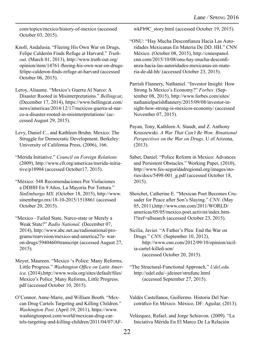com/topics/mexico/history-of-mexico (accessed October 03, 2015).

Knoll, Andalusia. "Fleeing His Own War on Drugs, Felipe Calderón Finds Refuge at Harvard." *Truthout*. (March 01, 2013), http://www.truth-out.org/ opinion/item/14761-fleeing-his-own-war-on-drugsfelipe-calderon-finds-refuge-at-harvard (accessed October 06, 2015).

Leroy, Aliaume. "Mexico's Guerra Al Narco: A Disaster Rooted in Misinterpretations." *Bellingcat*, (December 17, 2014), https://www.bellingcat.com/ news/americas/2014/12/17/mexicos-guerra-al-narco-a-disaster-rooted-in-misinterpretations/ (accessed August 29, 2015).

Levy, Daniel C., and Kathleen Bruhn. Mexico: The Struggle for Democratic Development. Berkeley: University of California Press, (2006), 166.

"Merida Initiative." *Council on Foreign Relations* (2009), http://www.cfr.org/americas/merida-initiative/p18904 (accessed October17, 2015).

"México: 548 Recomendaciones Por Violaciones a DDHH En 9 Años, La Mayoría Por Tortura." *SinEmbargo MX*. (October 18, 2015), http://www. sinembargo.mx/18-10-2015/1518861 (accessed October 20, 2015).

"Mexico - Failed State, Narco-state or Merely a Weak State?" *Radio National*. (December 07, 2014), http://www.abc.net.au/radionational/programs/rearvision/mexico-and-america27s- waron-drugs/5940460#transcript (accessed August 27, 2015).

Meyer, Maureen. "Mexico 's Police: Many Reforms, Little Progress." *Washington Office on Latin America*. (2014),http://www.wola.org/sites/default/files/ Mexico's Police\_Many Reforms, Little Progress. pdf (accessed October 10, 2015).

O'Connor, Anne-Marie, and William Booth. "Mexcan Drug Cartels Targeting and Killing Children." *Washington Post*. (April 19, 2011), https://www. washingtonpost.com/world/mexican-drug-cartels-targeting-and-killing-children/2011/04/07/AF- wkFb9C\_story.html (accessed October 19, 2015).

"ONU: "Hay Mucha Desconfianza Hacia Las Autoridades Mexicanas En Materia De DD. HH." CNN México. (October 08, 2015), http://cnnespanol. cnn.com/2015/10/08/onu-hay-mucha-desconfianza-hacia-las-autoridades-mexicanas-en-materia-de-dd-hh/ (accessed October 23, 2015).

Parrish Flannery, Nathaniel. "Investor Insight: How Strong Is Mexico's Economy?" *Forbes*. (September 08, 2015), http://www.forbes.com/sites/ nathanielparishflannery/2015/09/08/investor-insight-how-strong-is-mexicos-economy/ (accessed November 07, 2015).

- Payan, Tony, Kathleen A. Staudt, and Z. Anthony Kruszewski. *A War That Can't Be Won: Binational Perspectives on the War on Drugs*. U of Arizona, (2013).
- Sabet, Daniel. "Police Reform in Mexico: Advances and Persistent Obstacles." Working Paper, (2010), http://www.fes-seguridadregional.org/images/stories/docs/5498-001\_g.pdf (accessed October 18, 2015).

Shoichet, Catherine E. "Mexican Poet Becomes Crusader for Peace after Son's Slaying." *CNN*. (May 05, 2011),http://www.cnn.com/2011/WORLD/ americas/05/05/mexico.poet.activist/index.html?iref=allsearch (accessed October 23, 2015).

Sicilia, Javier. "A Father's Plea: End the War on Drugs." *CNN*. (September 10, 2012), http://www.cnn.com/2012/09/10/opinion/sicilia-cartel-killed-son/ (accessed October 20, 2015).

"The Structural-Functional Approach." *Udel.edu.* http://udel.edu/~jdeiner/strufunc.html (accessed September 27, 2015).

Valdés Castellanos, Guillermo. Historia Del Narcotráfico En México. México, DF: Aguilar, (2013).

Velázquez, Rafael, and Jorge Schiavon. (2009). "La Iniciativa Mérida En El Marco De La Relación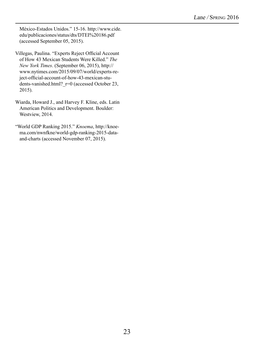México-Estados Unidos." 15-16. http://www.cide. edu/publicaciones/status/dts/DTEI%20186.pdf (accessed September 05, 2015).

- Villegas, Paulina. "Experts Reject Official Account of How 43 Mexican Students Were Killed." *The New York Times*. (September 06, 2015), http:// www.nytimes.com/2015/09/07/world/experts-reject-official-account-of-how-43-mexican-students-vanished.html? r=0 (accessed October 23, 2015).
- Wiarda, Howard J., and Harvey F. Kline, eds. Latin American Politics and Development. Boulder: Westview, 2014.
- "World GDP Ranking 2015." *Knoema*, http://knoema.com/nwnfkne/world-gdp-ranking-2015-dataand-charts (accessed November 07, 2015).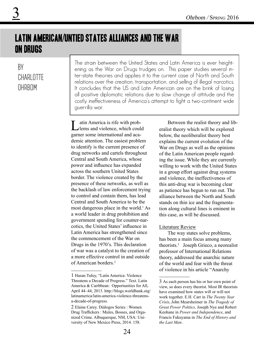## Latin American/Untied States Alliances and the War on Drugs

### By CHARI OTTF **OHRBOM**

3

The strain between the United States and Latin America is ever heightening as the War on Drugs trudges on. This paper studies several inter-state theories and applies it to the current case of North and South relations over the creation, transportation, and selling of illegal narcotics. It concludes that the US and Latin American are on the brink of losing all positive diplomatic relations due to slow change of attitude and the costly ineffectiveness of America's attempt to fight a two-continent wide guerrilla war.

atin America is rife with problems and violence, which could garner some international and academic attention. The easiest problem to identify is the current presence of drug networks and cartels throughout Central and South America, whose power and influence has expanded across the southern United States border. The violence created by the presence of these networks, as well as the backlash of law enforcement trying to control and contain them, has lead Central and South America to be the most dangerous place in the world.<sup>1</sup> As a world leader in drug prohibition and government spending for counter-narcotics, the United States' influence in Latin America has strengthened since the commencement of the War on Drugs in the 1970's. This declaration of war was a catalyst to the creation of a more effective control in and outside of American borders.<sup>2</sup>

Between the realist theory and liberalist theory which will be explored below, the neoliberalist theory best explains the current evolution of the War on Drugs as well as the opinions of the Latin American people regarding the issue. While they are currently willing to work with the United States in a group effort against drug systems and violence, the ineffectiveness of this anti-drug war is becoming clear as patience has begun to run out. The alliance between the North and South stands on thin ice and the fragmentation along cultural lines is eminent in this case, as will be discussed.

#### Literature Review

The way states solve problems, has been a main focus among many theorists.3 Joseph Grieco, a neorealist professor of International Relations theory, addressed the anarchic nature of the world and fear with the threat of violence in his article "Anarchy

<sup>1</sup> Hasan Tuluy, "Latin America: Violence Threatens a Decade of Progress." Text. Latin America & Caribbean: Opportunities for All, April 44–44, 2013. http://blogs.worldbank.org/ latinamerica/latin-america-violence-threatensa-decade-of-progress.

<sup>2</sup> Elaine Carey. Diálogos Series : Women Drug Traffickers : Mules, Bosses, and Organized Crime. Albuquerque, NM, USA: University of New Mexico Press, 2014. 158.

<sup>3</sup> As each person has his or her own point of view, so does every theorist. Most IR theorists have examined how states will or will not work together. E.H. Carr in *The Twenty Year Crisis*, John Mearsheimer in *The Tragedy of Great Power Politics,* Joseph Nye and Robert Keohane in *Power and Independence*, and Francis Fukuyama in *The End of History and the Last Man*.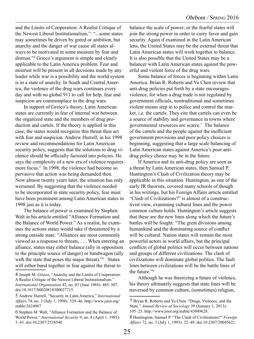and the Limits of Cooperation: A Realist Critique of the Newest Liberal Institutionalism,": "...some states may sometimes be driven by greed or ambition, but anarchy and the danger of war cause all states always to be motivated in some measure by fear and distrust."4 Grieco's argument is simple and clearly applicable to the Latin America problem. Fear and mistrust will be present in all decisions made by any leader while war is a possibility and the world system is in a state of anarchy. In South and Central America, the violence of the drug wars continues every day and with no global 911 to call for help, fear and suspicion are commonplace in the drug wars.

In support of Greico's theory, Latin American states are currently in fear of internal war between the organized state and the members of drug production and cartels. If the theory is applied in this case, the states would recognize this threat then act with fear and suspicion. Andrew Hurrell, in his 1998 review and recommendations for Latin American security policy, suggests that the solutions to drug violence should be officially factored into policies. He says the complexity of a new era of violence requires more focus.<sup>5</sup> In 1998, the violence had become so pervasive that action was being demanded then. Now almost twenty years later, the situation has only worsened. By suggesting that the violence needed to be incorporated in state security policy, fear must have been prominent among Latin American states in 1998 just as it is today.

The balance of power is examined by Stephen Walt in his article entitled "Alliance Formation and the Balance of World Power." As a realist, he examines the actions states would take if threatened by a strong outside state: "Alliances are most commonly viewed as a response to threats, . . . When entering an alliance, states may either balance (ally in opposition to the principle source of danger) or bandwagon (ally with the state that poses the major threat)."<sup>6</sup> States will either band together in fear against the threat to

balance the scale of power; or the fearful states will join the strong power in order to curry favor and gain security. Again if examined in the Latin American lens, the United States may be the external threat that Latin American states will work together to balance. It is also possible that the United States may be a balancer with Latin American states against the powerful and violent force of the drug wars.

Some balance of forces is beginning within Latin America. Brian R. Roberts and Yu Chen review that anti-drug policies put forth by a state encourages violence, for when a drug trade is not regulated by government officials, nontraditional and sometimes violent means step in to police and control the market, i.e. the cartels. They cite that cartels can even be a source of stability and governance in towns where governmental resources are scarce.7 The balance of the cartels and the people against the inefficient government provisions and poor policy choices is beginning, suggesting that a large scale balancing of Latin American states against America's poor antidrug policy choice may be in the future.

If America and its anti-drug policy are seen as a threat by Latin American states, then Samuel P. Huntington's Clash of Civilization theory may be applicable in this situation. Huntington, as one of the early IR theorists, covered many schools of though in his writings, but his Foreign Affairs article entitled "Clash of Civilizations?" is almost of a constructivist view, examining cultural lines and the power common culture holds. Huntington's article suggests that these are the new lines along which the future's battles will be fought: "The great divisions among humankind and the dominating source of conflict will be cultural. Nation states will remain the most powerful actors in world affairs, but the principal conflicts of global politics will occur between nations and groups of different civilizations. The clash of civilizations will dominate global politics. The fault lines between civilizations will be the battle lines of the future."8

Although he was theorizing a future of violence, his theory ultimately suggests that state lines will be traversed by common culture, (sometimes) religion,

<sup>4</sup> Joseph M. Grieco, "Anarchy and the Limits of Cooperation: A Realist Critique of the Newest Liberal Institutionalism." *International Organization* 42, no. 03 (June 1988): 485–507. doi:10.1017/S0020818300027715.

<sup>5</sup> Andrew Hurrell, "Security in Latin America." *International Affairs* 74, no. 3 (July 1, 1998): 529–46. http://www.jstor.org/ stable/2624967

<sup>6</sup> Stephen M. Walt, "Alliance Formation and the Balance of World Power." *International Security* 9, no. 4 (April 1, 1985): 3–43. doi:10.2307/2538540

<sup>7</sup> Bryan R. Roberts and Yu Chen, "Drugs, Violence, and the State." *Annual Review of Sociology* 39 (January 1, 2013): 105–25. http://www.jstor.org/stable/43049628.

<sup>8</sup> Huntington, Samuel P. "The Clash of Civilizations?" *Foreign Affairs* 72, no. 3 (July 1, 1993): 22–49. doi:10.2307/20045621.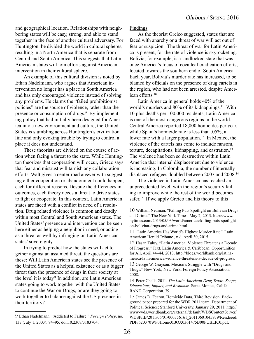and geographical location. Relationships with neighboring states will be easy, strong, and able to stand together in the face of another cultural adversary. For Huntington, he divided the world in cultural spheres, resulting in a North America that is separate from Central and South America. This suggests that Latin American states will join efforts against American intervention in their cultural sphere.

An example of this cultural division is noted by Ethan Nadelmann, who argues that American intervention no longer has a place in South America and has only encouraged violence instead of solving any problems. He claims the "failed prohibitionist policies" are the source of violence, rather than the presence or consumption of drugs.<sup>9</sup> By implementing policy that had initially been designed for America into a new environment and culture, the United States is stumbling across Huntington's civilization line and only evoking trouble by trying to control a place it does not understand.

These theorists are divided on the course of action when facing a threat to the state. While Huntington theorizes that cooperation will occur, Grieco says that fear and mistrust will tarnish any collaboration efforts. Walt gives a center road answer with suggesting either cooperation or abandonment could happen, each for different reasons. Despite the differences in outcomes, each theory needs a threat to drive states to fight or cooperate. In this context, Latin American states are faced with a conflict in need of a resolution. Drug related violence is common and deadly within most Central and South American states. The United States' presence and intervention can be seen here either as helping a neighbor in need, or acting as a threat as well by infringing on Latin American states' sovereignty.

In trying to predict how the states will act together against an assumed threat, the questions are these: Will Latin American states see the presence of the United States as a helpful existence or as a bigger threat than the presence of drugs in their society at the level it is today? In addition, are Latin American states going to work together with the United States to continue the War on Drugs, or are they going to work together to balance against the US presence in their territory?

Findings

As the theorist Greico suggested, states that are faced with anarchy or a threat of war will act out of fear or suspicion. The threat of war for Latin America is present, for the rate of violence is skyrocketing. Bolivia, for example, is a landlocked state that was once America's focus of coca leaf eradication efforts, located towards the southern end of South America. Each year, Bolivia's murder rate has increased, to be blamed by officials on the presence of drug cartels in the region, who had not been arrested, despite American efforts.10

Latin America in general holds 40% of the world's murders and  $80\%$  of its kidnappings.<sup>11</sup> With 10 plus deaths per 100,000 residents, Latin America is one of the most dangerous regions in the world. Central America reported 18,000 homicides per year, while Spain's homicide rate is less than .05%, a lower rate with a larger population.<sup>12</sup> In Mexico, the violence of the cartels has come to include ransom, torture, decapitations, kidnapping, and castration.<sup>13</sup> The violence has been so destructive within Latin America that internal displacement due to violence is increasing. In Colombia, the number of internally displaced refugees doubled between 2007 and 2008.14

The violence in Latin America has reached an unprecedented level, with the region's security failing to improve while the rest of the world becomes safer.<sup>15</sup> If we apply Greico and his theory to this

13 George W. Grayson. Mexico's Struggle with "Drugs and Thugs." New York, New York: Foreign Policy Association, 2008.

<sup>9</sup> Ethan Nadelmann, "Addicted to Failure." *Foreign Policy*, no. 137 (July 1, 2003): 94–95. doi:10.2307/3183704.

<sup>10</sup> William Neuman. "Killing Puts Spotlight on Bolivian Drugs and Crime." The New York Times, May 2, 2013. http://www. nytimes.com/2013/05/03/world/americas/killing-puts-spotlighton-bolivian-drugs-and-crime.html.

<sup>11 &</sup>quot;Latin America Has World's Highest Murder Rate." Latin American Herald Tribune , n.d. April 30, 2015.

<sup>12</sup> Hasan Tuluy. "Latin America: Violence Threatens a Decade of Progress." Text. Latin America & Caribbean: Opportunities for All, April 44–44, 2013. http://blogs.worldbank.org/latinamerica/latin-america-violence-threatens-a-decade-of-progress.

<sup>14</sup> Peter Chalk. 2011. *The Latin American Drug Trade: Scope, Dimensions, Impact, and Response.* Santa Monica, Calif.: RAND Corporation. 39.

<sup>15</sup> James D. Fearon, Homicide Data, Third Revision. Background paper prepared for the WDR 2011 team. Department of Political Science: Stanford University, January 29, 2011. http:// www-wds.worldbank.org/external/default/WDSContentServer/ WDSP/IB/2011/06/01/000356161\_20110601045939/Rendered/ PDF/620370WP0Homic0BOX0361475B00PUBLIC0.pdf.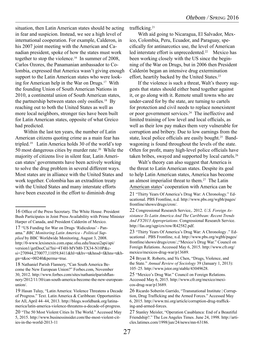situation, then Latin American states should be acting in fear and suspicion. Instead, we see a high level of international cooperation. For example, Calderon, in his 2007 joint meeting with the American and Canadian president, spoke of how the states must work together to stop the violence.<sup>16</sup> In summer of 2008, Carlos Ozores, the Panamanian ambassador to Colombia, expressed that America wasn't giving enough support to the Latin American states who were looking for American help in the War on Drugs.17 With the founding Union of South American Nations in 2010, a continental union of South American states, the partnership between states only ossifies.<sup>18</sup> By reaching out to both the United States as well as more local neighbors, stronger ties have been built for Latin American states, opposite of what Greico had predicted.

Within the last ten years, the number of Latin American citizens quoting crime as a main fear has tripled.19 Latin America holds 30 of the world's top 50 most dangerous cities by murder rate.20 While the majority of citizens live in silent fear, Latin American states' governments have been actively working to solve the drug problem in several different ways. Most states are in alliance with the United States and work together. Colombia has an extradition treaty with the United States and many interstate efforts have been executed in the effort to diminish drug

trafficking.<sup>21</sup>

With aid going to Nicaragua, El Salvador, Mexico, Colombia, Peru, Ecuador, and Paraguay, specifically for antinarcotics use, the level of American led interstate effort is unprecedented.<sup>22</sup> Mexico has been working closely with the US since the beginning of the War on Drugs, but in 2006 then President Calderón began an intensive drug extermination effort, heartily backed by the United States.<sup>23</sup>

If the violence is such a threat, Walt's theory suggests that states should either band together against it, or go along with it. Remote small towns who are under-cared for by the state, are turning to cartels for protection and civil needs to replace nonexistent or poor government services.24 The ineffective and limited training of low level and local officials, as well as their low pay makes them very vulnerable for corruption and bribery. Due to low earnings from the state, local police officials are easily bought.<sup>25</sup> Bandwagoning is found throughout the levels of the state. Often for profit, many high-level police officials have taken bribes, swayed and supported by local cartels.26

Walt's theory can also suggest that America is the threat to Latin American states. Despite its goal to help Latin American states, America has become an almost imperialist threat to them.<sup>27</sup> The Latin American states' cooperation with America can be

24 Bryan R. Roberts, and Yu Chen, "Drugs, Violence, and the State." *Annual Review of Sociology* 39 (January 1, 2013): 105–25. http://www.jstor.org/stable/43049628.

<sup>16</sup> Office of the Press Secretary. The White House. President Bush Participates in Joint Press Availability with Prime Minister Harper of Canada, and President Calderón of Mexico.

<sup>17 &</sup>quot;US Funding for War on Drugs 'Ridiculous' - Panama." *BBC Monitoring Latin America - Political Supplied* by BBC Worldwide Monitoring, August 3, 2008. http://0-www.lexisnexis.com.opac.sfsu.edu/lnacui2api/api/ version1/getDocCui?lni=4T4H-MVM0-TX34-N10P&csi=270944,270077,11059,8411&hl=t&hv=t&hnsd=f&hns=t&hgn=t&oc=00240&perma=true.

<sup>18</sup> Nathaniel Parish Flannery, "Can South America Become the New European Union?" Forbes.com, November 30, 2012. http://www.forbes.com/sites/nathanielparishflannery/2012/11/30/can-south-america-become-the-new-europeanunion/.

<sup>19</sup> Hasan Tuluy, "Latin America: Violence Threatens a Decade of Progress." Text. Latin America & Caribbean: Opportunities for All, April 44–44, 2013. http://blogs.worldbank.org/latinamerica/latin-america-violence-threatens-a-decade-of-progress.

<sup>20 &</sup>quot;The 50 Most Violent Cities In The World." Accessed May 5, 2015. http://www.businessinsider.com/the-most-violent-cities-in-the-world-2013-11

<sup>21 &</sup>quot;Thirty Years Of America's Drug War: A Chronology." Educational. PBS Frontline, n.d. http://www.pbs.org/wgbh/pages/ frontline/shows/drugs/cron/.

<sup>22</sup> Congressional Research Service,. 2012. *U.S. Foreign Assistance To Latin America And The Caribbean: Recent Trends And FY2013 Appropriations*. Congressional Research Service. http://fas.org/sgp/crs/row/R42582.pdf.

<sup>23 &</sup>quot;Thirty Years Of America's Drug War: A Chronology ." Educational . PBS Frontline, n.d. http://www.pbs.org/wgbh/pages/ frontline/shows/drugs/cron/.;"Mexico's Drug War." Council on Foreign Relations. Accessed May 6, 2015. http://www.cfr.org/ mexico/mexicos-drug-war/p13689.

<sup>25</sup> "Mexico's Drug War." Council on Foreign Relations. Accessed May 6, 2015. http://www.cfr.org/mexico/mexicos-drug-war/p13689.

<sup>26</sup> Ricardo Soberón Garrido, "Transnational Institute | Corruption, Drug Trafficking and the Armed Forces." Accessed May 6, 2015. http://www.tni.org/article/corruption-drug-trafficking-and-armed-forces.

<sup>27</sup> Stanley Meisler, "Operation Casablanca: End of a Beautiful Friendship?." The Los Angeles Times. June 24, 1998. http://articles.latimes.com/1998/jun/24/news/mn-63186.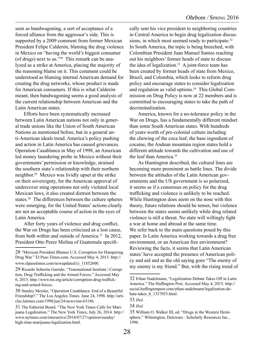seen as bandwagoning, a sort of acceptance of a forced alliance from the aggressor's side. This is supported by a 2009 comment from former Mexican President Felipe Calderón, blaming the drug violence in Mexico on "having the world's biggest consumer (of drugs) next to us."28 This remark can be analyzed as a strike at America, placing the majority of the reasoning blame on it. This comment could be understood as blaming internal American demand for creating the drug networks, whose product is made for American consumers. If this is what Calderón meant, then bandwagoning seems a good analysis of the current relationship between American and the Latin American states.

Efforts have been systematically increased between Latin American nations not only in general trade unions like the Union of South American Nations as mentioned before, but in a general anti-American ideals trend. America's policy pushing and action in Latin America has caused grievances. Operation Casablanca in May of 1998, an American led money laundering probe in Mexico without their governments' permission or knowledge, strained the southern state's relationship with their northern neighbor.29 Mexico was lividly upset at the strike on their sovereignty, for the American approval of undercover sting operations not only violated local Mexican laws, it also created distrust between the states.<sup>30</sup> The differences between the culture spheres were emerging, for the United States' actions clearly are not an acceptable course of action in the eyes of Latin America.

After forty years of violence and drug conflict, the War on Drugs has been criticized as a lost cause, from both within and outside of America.31 In 2012, President Otto Perez Molina of Guatemala specifically sent his vice president to neighboring countries in Central America to begin drug legalization discussions, in which most seemed ready to participate.<sup>32</sup> In South America, the topic is being breeched, with Colombian President Juan Manuel Santos reaching out his neighbors' former heads of state to discuss the idea of legalization.<sup>33</sup> A joint-force team has been created by former heads of state from Mexico, Brazil, and Colombia, which looks to reform drug policy and encourage states to consider legalization and regulation as valid options.<sup>34</sup> This Global Commission on Drug Policy is now at 22 members and is committed to encouraging states to take the path of decriminalization.

America, known for a no-tolerance policy in the War on Drugs, has a fundamentally different mindset than some South American states. With hundreds of years worth of pre-colonial culture including the chewing of the coca leaf, the base ingredient of cocaine, the Andean mountain region states hold a different attitude towards the cultivation and use of the leaf than America.35

As Huntington described, the cultural lines are becoming more prominent as battle lines. The divide between the attitudes of the Latin American governments and the US government is so polarized, it seems as if a consensus on policy for the drug trafficking and violence is unlikely to be reached. While Huntington does seem on the nose with this theory, future relations should be tenser, but violence between the states seems unlikely while drug related violence is still a threat. No state will willingly fight a war at home and abroad at the same time. We refer back to the main questions posed by this paper. Is Latin America working towards a drug free environment, or an American free environment? Reviewing the facts, it seems that Latin American states' have accepted the presence of American policy and aid and as the old saying goes "The enemy of my enemy is my friend." But, with the rising trend of

<sup>28</sup> "Mexican President Blames U.S. Corruption for Hampering Drug War." El Paso Times.com. Accessed May 4, 2015. http:// www.elpasotimes.com/newupdated/ci\_11852600.

<sup>29</sup> Ricardo Soberón Garrido. "Transnational Institute | Corruption, Drug Trafficking and the Armed Forces." Accessed May 6, 2015. http://www.tni.org/article/corruption-drug-trafficking-and-armed-forces.

<sup>30</sup> Stanley Meisler, "Operation Casablanca: End of a Beautiful Friendship?." The Los Angeles Times. June 24, 1998. http://articles.latimes.com/1998/jun/24/news/mn-63186.

<sup>31</sup> The Editorial Board. "The New York Times Calls for Marijuana Legalization." The New York Times, July 26, 2014. http:// www.nytimes.com/interactive/2014/07/27/opinion/sunday/ high-time-marijuana-legalization.html.

<sup>32</sup> Ethan Nadelmann, "Legalization Debate Takes Off in Latin America." The Huffington Post. Accessed May 4, 2015. http:// social.huffingtonpost.com/ethan-nadelmann/legalization-debate-takes\_b\_1337053.html.

<sup>33</sup> *Ibid.*

<sup>34</sup> *Ibid.*

<sup>35</sup> William O. Walker III, ed. "Drugs in the Western Hemisphere." Wilmington, Deleware : Scholarly Resources Inc., 1996.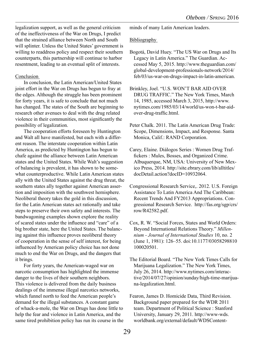legalization support, as well as the general criticism of the ineffectiveness of the War on Drugs, I predict that the strained alliance between North and South will splinter. Unless the United States' government is willing to readdress policy and respect their southern counterparts, this partnership will continue to harbor resentment, leading to an eventual split of interests.

#### Conclusion

In conclusion, the Latin American/United States joint effort in the War on Drugs has begun to fray at the edges. Although the struggle has been prominent for forty years, it is safe to conclude that not much has changed. The states of the South are beginning to research other avenues to deal with the drug related violence in their communities, most significantly the possibility of legalization.

The cooperation efforts foreseen by Huntington and Walt all have manifested, but each with a different reason. The interstate cooperation within Latin America, as predicted by Huntington has begun to chafe against the alliance between Latin American states and the United States. While Walt's suggestion of balancing is prevalent, it has shown to be somewhat counterproductive. While Latin American states ally with the United States against the drug threat, the southern states ally together against American assertion and imposition with the southwest hemisphere. Neoliberal theory takes the gold in this discussion, for the Latin American states act rationally and take steps to preserve their own safety and interests. The bandwagoning examples shown explore the reality of scared states under the influence and "care" of a big brother state, here the United States. The balancing against this influence proves neoliberal theory of cooperation in the sense of self interest, for being influenced by American policy choice has not done much to end the War on Drugs, and the dangers that it brings.

For forty years, the American-waged war on narcotic consumption has highlighted the immense danger to the lives of their southern neighbors. This violence is delivered from the daily business dealings of the immense illegal narcotics networks, which funnel north to feed the American people's demand for the illegal substances. A constant game of whack-a-mole, the War on Drugs has done little to help the fear and violence in Latin America, and the same tired prohibition policy has run its course in the minds of many Latin American leaders.

#### **Bibliography**

- Bogotá, David Huey. "The US War on Drugs and Its Legacy in Latin America." The Guardian. Accessed May 5, 2015. http://www.theguardian.com/ global-development-professionals-network/2014/ feb/03/us-war-on-drugs-impact-in-latin-american.
- Brinkley, Joel. "U.S. WON'T BAR AID OVER DRUG TRAFFIC." The New York Times, March 14, 1985, accessed March 3, 2015, http://www. nytimes.com/1985/03/14/world/us-won-t-bar-aidover-drug-traffic.html.
- Peter Chalk. 2011. The Latin American Drug Trade: Scope, Dimensions, Impact, and Response. Santa Monica, Calif.: RAND Corporation.
- Carey, Elaine. Diálogos Series : Women Drug Traffickers : Mules, Bosses, and Organized Crime. Albuquerque, NM, USA: University of New Mexico Press, 2014. http://site.ebrary.com/lib/alltitles/ docDetail.action?docID=10932064.
- Congressional Research Service,. 2012. U.S. Foreign Assistance To Latin America And The Caribbean: Recent Trends And FY2013 Appropriations. Congressional Research Service. http://fas.org/sgp/crs/ row/R42582.pdf.
- Cox, R. W. "Social Forces, States and World Orders: Beyond International Relations Theory." *Millennium - Journal of International Studies* 10, no. 2 (June 1, 1981): 126–55. doi:10.1177/03058298810 100020501.
- The Editorial Board. "The New York Times Calls for Marijuana Legalization." The New York Times, July 26, 2014. http://www.nytimes.com/interactive/2014/07/27/opinion/sunday/high-time-marijuana-legalization.html.
- Fearon, James D. Homicide Data, Third Revision. Background paper prepared for the WDR 2011 team. Department of Political Science : Stanford University, January 29, 2011. http://www-wds. worldbank.org/external/default/WDSContent-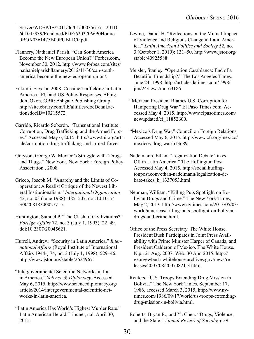Server/WDSP/IB/2011/06/01/000356161\_20110 601045939/Rendered/PDF/620370WP0Homic-0BOX0361475B00PUBLIC0.pdf.

- Flannery, Nathaniel Parish. "Can South America Become the New European Union?" Forbes.com, November 30, 2012. http://www.forbes.com/sites/ nathanielparishflannery/2012/11/30/can-southamerica-become-the-new-european-union/.
- Fukumi, Sayaka. 2008. Cocaine Trafficking in Latin America : EU and US Policy Responses. Abingdon, Oxon, GBR: Ashgate Publishing Group. http://site.ebrary.com/lib/alltitles/docDetail.action?docID=10215572.
- Garrido, Ricardo Soberón. "Transnational Institute | Corruption, Drug Trafficking and the Armed Forces." Accessed May 6, 2015. http://www.tni.org/article/corruption-drug-trafficking-and-armed-forces.
- Grayson, George W. Mexico's Struggle with "Drugs and Thugs." New York, New York : Foreign Policy Association , 2008.
- Grieco, Joseph M. "Anarchy and the Limits of Cooperation: A Realist Critique of the Newest Liberal Institutionalism." *International Organization* 42, no. 03 (June 1988): 485–507. doi:10.1017/ S0020818300027715.
- Huntington, Samuel P. "The Clash of Civilizations?" *Foreign Affairs* 72, no. 3 (July 1, 1993): 22–49. doi:10.2307/20045621.
- Hurrell, Andrew. "Security in Latin America." *International Affairs* (Royal Institute of International Affairs 1944-) 74, no. 3 (July 1, 1998): 529–46. http://www.jstor.org/stable/2624967.
- "Intergovernmental Scientific Networks in Latin America." *Science & Diplomacy*. Accessed May 6, 2015. http://www.sciencediplomacy.org/ article/2014/intergovernmental-scientific-networks-in-latin-america.
- "Latin America Has World's Highest Murder Rate." Latin American Herald Tribune , n.d. April 30, 2015.
- Levine, Daniel H. "Reflections on the Mutual Impact of Violence and Religious Change in Latin America." *Latin American Politics and Society* 52, no. 3 (October 1, 2010): 131–50. http://www.jstor.org/ stable/40925588.
- Meisler, Stanley. "Operation Casablanca: End of a Beautiful Friendship?." The Los Angeles Times. June 24, 1998. http://articles.latimes.com/1998/ jun/24/news/mn-63186.
- "Mexican President Blames U.S. Corruption for Hampering Drug War." El Paso Times.com. Accessed May 4, 2015. http://www.elpasotimes.com/ newupdated/ci\_11852600.
- "Mexico's Drug War." Council on Foreign Relations. Accessed May 6, 2015. http://www.cfr.org/mexico/ mexicos-drug-war/p13689.
- Nadelmann, Ethan. "Legalization Debate Takes Off in Latin America." The Huffington Post. Accessed May 4, 2015. http://social.huffingtonpost.com/ethan-nadelmann/legalization-debate-takes\_b\_1337053.html.
- Neuman, William. "Killing Puts Spotlight on Bolivian Drugs and Crime." The New York Times, May 2, 2013. http://www.nytimes.com/2013/05/03/ world/americas/killing-puts-spotlight-on-boliviandrugs-and-crime.html.
- Office of the Press Secretary. The White House. President Bush Participates in Joint Press Availability with Prime Minister Harper of Canada, and President Calderón of Mexico. The White House. N.p., 21 Aug. 2007. Web. 30 Apr. 2015. http:// georgewbush-whitehouse.archives.gov/news/releases/2007/08/20070821-3.html.
- Reuters. "U.S. Troops Extending Drug Mission in Bolivia." The New York Times, September 17, 1986, accessed March 3, 2015, http://www.nytimes.com/1986/09/17/world/us-troops-extendingdrug-mission-in-bolivia.html.
- Roberts, Bryan R., and Yu Chen. "Drugs, Violence, and the State." *Annual Review of Sociology* 39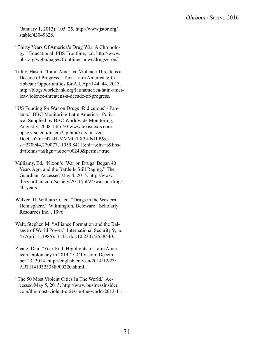(January 1, 2013): 105–25. http://www.jstor.org/ stable/43049628.

"Thirty Years Of America's Drug War: A Chronology." Educational. PBS Frontline, n.d. http://www. pbs.org/wgbh/pages/frontline/shows/drugs/cron/.

- Tuluy, Hasan. "Latin America: Violence Threatens a Decade of Progress." Text. Latin America & Caribbean: Opportunities for All, April 44–44, 2013. http://blogs.worldbank.org/latinamerica/latin-america-violence-threatens-a-decade-of-progress.
- "US Funding for War on Drugs 'Ridiculous' Panama." BBC Monitoring Latin America - Political Supplied by BBC Worldwide Monitoring, August 3, 2008. http://0-www.lexisnexis.com. opac.sfsu.edu/lnacui2api/api/version1/get-DocCui?lni=4T4H-MVM0-TX34-N10P&csi=270944,270077,11059,8411&hl=t&hv=t&hnsd=f&hns=t&hgn=t&oc=00240&perma=true.
- Vulliamy, Ed. "Nixon's 'War on Drugs' Began 40 Years Ago, and the Battle Is Still Raging." The Guardian. Accessed May 4, 2015. http://www. theguardian.com/society/2011/jul/24/war-on-drugs-40-years.
- Walker III, William O., ed. "Drugs in the Western Hemisphere." Wilmington, Deleware : Scholarly Resources Inc. , 1996.
- Walt, Stephen M. "Alliance Formation and the Balance of World Power." International Security 9, no. 4 (April 1, 1985): 3–43. doi:10.2307/2538540.
- Zhang, Dan. "Year-End: Highlights of Latin American Diplomacy in 2014." CCTV.com, December 23, 2014. http://english.cntv.cn/2014/12/23/ ARTI1419323388900220.shtml.
- "The 50 Most Violent Cities In The World." Accessed May 5, 2015. http://www.businessinsider. com/the-most-violent-cities-in-the-world-2013-11.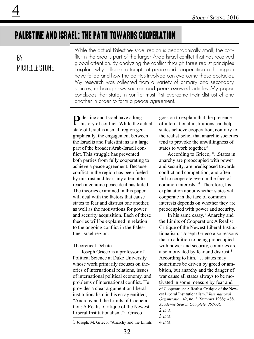## Palestine and Israel: The Path Towards Cooperation

### By MICHELLE STONE

While the actual Palestine-Israel region is geographically small, the conflict in the area is part of the larger Arab-Israel conflict that has received global attention. By analyzing the conflict through three realist principles I explore why different attempts at peace and cooperation in the region have failed and how the parties involved can overcome these obstacles. My research was collected from a variety of primary and secondary sources, including news sources and peer-reviewed articles. My paper concludes that states in conflict must first overcome their distrust of one another in order to form a peace agreement.

Palestine and Israel have a long history of conflict. While the actual state of Israel is a small region geographically, the engagement between the Israelis and Palestinians is a large part of the broader Arab-Israeli conflict. This struggle has prevented both parties from fully cooperating to achieve a peace agreement. Because conflict in the region has been fueled by mistrust and fear, any attempt to reach a genuine peace deal has failed. The theories examined in this paper will deal with the factors that cause states to fear and distrust one another, as well as the motivations for power and security acquisition. Each of these theories will be explained in relation to the ongoing conflict in the Palestine-Israel region.

#### Theoretical Debate

Joseph Grieco is a professor of Political Science at Duke University whose work primarily focuses on theories of international relations, issues of international political economy, and problems of international conflict. He provides a clear argument on liberal institutionalism in his essay entitled, "Anarchy and the Limits of Cooperation: A Realist Critique of the Newest Liberal Institutionalism."1 Grieco

1 Joseph, M. Grieco, "Anarchy and the Limits

goes on to explain that the presence of international institutions can help states achieve cooperation, contrary to the realist belief that anarchic societies tend to provoke the unwillingness of states to work together.<sup>2</sup>

According to Grieco, "...States in anarchy are preoccupied with power and security, are predisposed towards conflict and competition, and often fail to cooperate even in the face of common interests."3 Therefore, his explanation about whether states will cooperate in the face of common interests depends on whether they are preoccupied with power and security.

In his same essay, "Anarchy and the Limits of Cooperation: A Realist Critique of the Newest Liberal Institutionalism," Joseph Grieco also reasons that in addition to being preoccupied with power and security, countries are also motivated by fear and distrust.<sup>4</sup> According to him, "…states may sometimes be driven by greed or ambition, but anarchy and the danger of war cause all states always to be motivated in some measure by fear and

of Cooperation: A Realist Critique of the Newest Liberal Institutionalism." *International Organization* 42, no. 3 (Summer 1988): 488. *Academic Search Complete, JSTOR*.

- 2 *Ibid.*
- 3 *Ibid.*

<sup>4</sup> *Ibid.*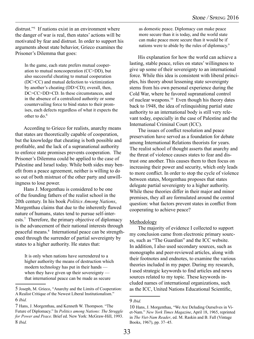distrust."5 If nations exist in an environment where the danger of war is real, then states' actions will be motivated by fear and distrust. In order to support his arguments about state behavior, Grieco examines the Prisoner's Dilemma that goes:

In the game, each state prefers mutual cooperation to mutual noncooperation (CC>DD), but also successful cheating to mutual cooperation (DC>CC) and mutual defection to victimization by another's cheating (DD>CD); overall, then, DC>CC>DD>CD. In these circumstances, and in the absence of a centralized authority or some countervailing force to bind states to their promises, each defects regardless of what it expects the other to do. 6

According to Grieco for realists, anarchy means that states are theoretically capable of cooperation, but the knowledge that cheating is both possible and profitable, and the lack of a supranational authority to enforce state promises prevents cooperation. The Prisoner's Dilemma could be applied to the case of Palestine and Israel today. While both sides may benefit from a peace agreement, neither is willing to do so out of both mistrust of the other party and unwillingness to lose power.

Hans J. Morgenthau is considered to be one of the founding fathers of the realist school in the 20th century. In his book *Politics Among Nations*, Morgenthau claims that due to the inherently flawed nature of humans, states tend to pursue self-interests.7 Therefore, the primary objective of diplomacy is the advancement of their national interests through peaceful means.8 International peace can be strengthened through the surrender of partial sovereignty by states to a higher authority. He states that:

It is only when nations have surrendered to a higher authority the means of destruction which modern technology has put in their hands when they have given up their sovereignty that international peace can be made as secure

as domestic peace. Diplomacy can make peace more secure than it is today, and the world state can make peace more secure than it would be if nations were to abide by the rules of diplomacy.<sup>9</sup>

His explanation for how the world can achieve a lasting, stable peace, relies on states' willingness to give up some of their sovereignty to an international force. While this idea is consistent with liberal principles, his theory about lessening state sovereignty stems from his own personal experience during the Cold War, where he favored supranational control of nuclear weapons.10 Even though his theory dates back to 1948, the idea of relinquishing partial state authority to an international body is still very relevant today, especially in the case of Palestine and the International Criminal Court (ICC).

The issues of conflict resolution and peace preservation have served as a foundation for debate among International Relations theorists for years. The realist school of thought asserts that anarchy and the threat of violence causes states to fear and distrust one another. This causes them to then focus on increasing their power and security, which only leads to more conflict. In order to stop the cycle of violence between states, Morgenthau proposes that states delegate partial sovereignty to a higher authority. While these theories differ in their major and minor premises, they all are formulated around the central question: what factors prevent states in conflict from cooperating to achieve peace?

#### Methodology

The majority of evidence I collected to support my conclusion came from electronic primary sources, such as "The Guardian" and the ICC website. In addition, I also used secondary sources, such as monographs and peer-reviewed articles, along with their footnotes and endnotes, to examine the various theories included in my paper. During my research, I used strategic keywords to find articles and news sources related to my topic. These keywords included names of international organizations, such as the ICC, United Nations Educational Scientific,

<sup>5</sup> Joseph, M. Grieco, "Anarchy and the Limits of Cooperation: A Realist Critique of the Newest Liberal Institutionalism."

<sup>6</sup> *Ibid.*

<sup>7</sup> Hans, J. Morgenthau, and Kenneth W. Thompson. "The Future of Diplomacy." In *Politics among Nations: The Struggle for Power and Peace*. Brief ed. New York: McGraw-Hill, 1993. 8 *Ibid.*

<sup>9</sup> *Ibid.*

<sup>10</sup> Hans, J. Morgenthau, "We Are Deluding Ourselves in Viet-Nam." *New York Times Magazine*, April 18, 1965, reprinted in *The Viet-Nam Reader*, ed. M. Raskin and B. Fall (Vintage Books, 1967), pp. 37–45.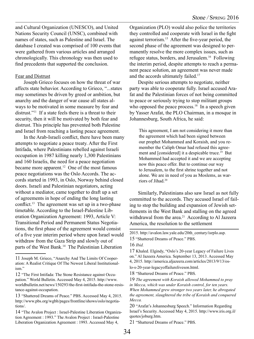and Cultural Organization (UNESCO), and United Nations Security Council (UNSC), combined with names of states, such as Palestine and Israel. The database I created was comprised of 100 events that were gathered from various articles and arranged chronologically. This chronology was then used to find precedents that supported the conclusion.

#### **Fear and Distrust**

Joseph Grieco focuses on how the threat of war affects state behavior. According to Grieco, "...states may sometimes be driven by greed or ambition, but anarchy and the danger of war cause all states always to be motivated in some measure by fear and distrust."<sup>11</sup> If a state feels there is a threat to their security, then it will be motivated by both fear and distrust. This principle has prevented both Palestine and Israel from reaching a lasting peace agreement.

In the Arab-Israeli conflict, there have been many attempts to negotiate a peace treaty. After the First Intifada, where Palestinians rebelled against Israeli occupation in 1987 killing nearly 1,300 Palestinians and 160 Israelis, the need for a peace negotiation became more apparent.<sup>12</sup> One of the most famous peace negotiations was the Oslo Accords. The accords started in 1993, in Oslo, Norway behind closed doors. Israeli and Palestinian negotiators, acting without a mediator, came together to draft up a set of agreements in hope of ending the long lasting conflict.13 The agreement was set up in a two-phase timetable. According to the Israel-Palestine Liberation Organization Agreement: 1993, Article V: Transitional Period and Permanent Status Negotiations, the first phase of the agreement would consist of a five year interim period where upon Israel would withdraw from the Gaza Strip and slowly out of parts of the West Bank.<sup>14</sup> The Palestinian Liberation

Organization (PLO) would also police the territories they controlled and cooperate with Israel in the fight against terrorism.15 After the five-year period, the second phase of the agreement was designed to permanently resolve the more complex issues, such as refugee status, borders, and Jerusalem.16 Following the interim period, despite attempts to reach a permanent peace solution, an agreement was never made and the accords ultimately failed.<sup>17</sup>

Despite serious attempts to negotiate, neither party was able to cooperate fully. Israel accused Arafat and the Palestinian forces of not being committed to peace or seriously trying to stop militant groups who opposed the peace process.<sup>18</sup> In a speech given by Yasser Arafat, the PLO Chairman, in a mosque in Johannesburg, South Africa, he said:

This agreement, I am not considering it more than the agreement which had been signed between our prophet Mohammed and Koraish, and you remember the Caliph Omar had refused this agreement and [considered] it a despicable truce.<sup>19</sup> But Mohammed had accepted it and we are accepting now this peace offer. But to continue our way to Jerusalem, to the first shrine together and not alone. We are in need of you as Moslems, as warriors of Jihad.20

Similarly, Palestinians also saw Israel as not fully committed to the accords. They accused Israel of failing to stop the building and expansion of Jewish settlements in the West Bank and stalling on the agreed withdrawal from the area.<sup>21</sup> According to Al Jazeera America, the resolution to the settlement

17 Khaled. Elgindy, "Oslo's 20-year Legacy of Failure Lives on." Al Jazeera America. September 13, 2013. Accessed May 4, 2015. http://america.aljazeera.com/articles/2013/9/13/os-

lo-s-20-year-legacyoffailureliveson.html.

18 "Shattered Dreams of Peace." PBS.

21 "Shattered Dreams of Peace." PBS.

<sup>11</sup> Joseph M. Grieco, "Anarchy And The Limits Of Cooperation: A Realist Critique Of The Newest Liberal Institutionalism."

<sup>12 &</sup>quot;The First Intifada: The Stone Resistance against Occupation." World Bulletin. Accessed May 4, 2015. http://www. worldbulletin.net/news/150293/the-first-intifada-the-stone-resistance-against-occupation.

<sup>13 &</sup>quot;Shattered Dreams of Peace." PBS. Accessed May 4, 2015. http://www.pbs.org/wgbh/pages/frontline/shows/oslo/negotiations/.

<sup>14 &</sup>quot;The Avalon Project : Israel-Palestine Liberation Organization Agreement : 1993." The Avalon Project : Israel-Palestine Liberation Organization Agreement : 1993. Accessed May 4,

<sup>2015.</sup> http://avalon.law.yale.edu/20th\_century/isrplo.asp.

<sup>15 &</sup>quot;Shattered Dreams of Peace." PBS.

<sup>16</sup> *Ibid.* 

<sup>19</sup> *The agreement with Koraish allowed Mohammed to pray in Mecca, which was under Koraish control, for ten years. When Mohammed grew stronger two years later, he abrogated the agreement, slaughtered the tribe of Koraish and conquered Mecca.*

<sup>20 &</sup>quot;Arafat's Johannesburg Speech." Information Regarding Israel's Security. Accessed May 4, 2015. http://www.iris.org.il/ quotes/joburg.htm.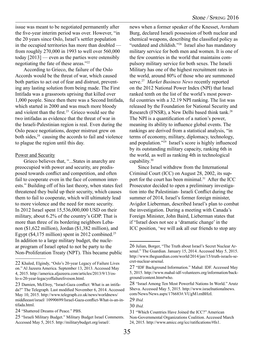issue was meant to be negotiated permanently after the five-year interim period was over. However, "in the 20 years since Oslo, Israel's settler population in the occupied territories has more than doubled from roughly 270,000 in 1993 to well over 560,000 today [2013] — even as the parties were ostensibly negotiating the fate of these areas."22

According to Grieco, the failure of the Oslo Accords would be the threat of war, which caused both parties to act out of fear and distrust, preventing any lasting solution from being made. The First Intifada was a grassroots uprising that killed over 1,000 people. Since then there was a Second Intifada, which started in 2000 and was much more bloody and violent than the first.<sup>23</sup> Grieco would see the two intifadas as evidence that the threat of war in the Israeli-Palestinian region is real. Even during the Oslo peace negotiations, deeper mistrust grew on both sides, $24$  causing the accords to fail and violence to plague the region until this day.

#### Power and Security

Grieco believes that, "...States in anarchy are preoccupied with power and security, are predisposed towards conflict and competition, and often fail to cooperate even in the face of common interests." Building off of his last theory, when states feel threatened they build up their security, which causes them to fail to cooperate, which will ultimately lead to more violence and the need for more security. In 2012 Israel spent 15,536,000,000 USD on their military, about 6.2% of the country's GDP. That is more than three of its bordering neighbors Lebanon (\$1,622 million), Jordan (\$1,382 million), and Egypt ( $$4,175$  million) spent in 2012 combined.<sup>25</sup> In addition to a large military budget, the nuclear program of Israel opted to not be party to the Non-Proliferation Treaty (NPT). This became public

news when a former speaker of the Knesset, Avraham Burg, declared Israeli possession of both nuclear and chemical weapons, describing the classified policy as "outdated and childish."26 Israel also has mandatory military service for both men and women. It is one of the few countries in the world that maintains compulsory military service for both sexes. The Israeli Military has one of the highest recruitment rates in the world, around 80% of those who are summoned serve.27 *Market Business News* recently reported on the 2012 National Power Index (NPI) that Israel ranked tenth on the list of the world's most powerful countries with a 32.19 NPI ranking. The list was released by the Foundation for National Security and Research (FNSR), a New Delhi based think tank.28 The NPI is a quantification of a nation's power, meaning its ability to influence global events. The rankings are derived from a statistical analysis, "in terms of economy, military, diplomacy, technology, and population."29 Israel's score is highly influenced by its outstanding military capacity, ranking 6th in the world, as well as ranking 4th in technological capability.30

Since Israel withdrew from the International Criminal Court (ICC) on August 28, 2002, its support for the court has been minimal.<sup>31</sup> After the ICC Prosecutor decided to open a preliminary investigation into the Palestinian- Israeli Conflict during the summer of 2014, Israel's former foreign minister, Avigdor Lieberman, described Israel's plan to combat the investigation. During a meeting with Canada's Foreign Minister, John Baird, Lieberman states that if "Israel does not see a 'dramatic change' in the ICC position, 'we will ask all our friends to stop any

<sup>22</sup> Khaled, Elgindy, "Oslo's 20-year Legacy of Failure Lives on." Al Jazeera America. September 13, 2013. Accessed May 4, 2015. http://america.aljazeera.com/articles/2013/9/13/oslo-s-20-year-legacyoffailureliveson.html.

<sup>23</sup> Damien, McElroy, "Israel-Gaza conflict: What is an intifada?" The Telegraph. Last modified November 6, 2014. Accessed May 10, 2015. http://www.telegraph.co.uk/news/worldnews/ middleeast/israel/ 10990699/Israel-Gaza-conflict-What-is-an-intifada.html.

<sup>24 &</sup>quot;Shattered Dreams of Peace." PBS.

<sup>25 &</sup>quot;Israeli Military Budget." Military Budget Israel Comments. Accessed May 5, 2015. http://militarybudget.org/israel/.

<sup>26</sup> Julian, Borger, "The Truth about Israel's Secret Nuclear Arsenal." The Guardian. January 15, 2014. Accessed May 5, 2015. http://www.theguardian.com/world/2014/jan/15/truth-israels-secret-nuclear-arsenal.

<sup>27 &</sup>quot;IDF Background Information." Mahal: IDF. Accessed May 5, 2015. http://www.mahal-idf-volunteers.org/information/background/content.htm#who.

<sup>28 &</sup>quot;Israel Among Ten Most Powerful Nations In World." Arutz Sheva. Accessed May 5, 2015. http://www.israelnationalnews. com/News/News.aspx/176683#.VUgM1znBHzI.

<sup>29</sup> *Ibid.*

<sup>30</sup> *Ibid.*

<sup>31 &</sup>quot;Which Countries Have Joined the ICC?" American Non-Governmental Organizations Coalition. Accessed March 24, 2015. http://www.amicc.org/icc/ratifications/#fn1.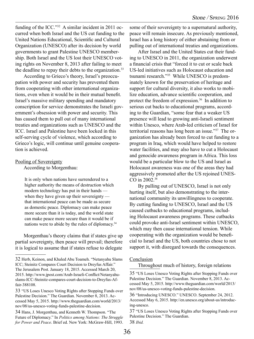funding of the ICC."32 A similar incident in 2011 occurred when both Israel and the US cut funding to the United Nations Educational, Scientific and Cultural Organization (UNESCO) after its decision by world governments to grant Palestine UNESCO membership. Both Israel and the US lost their UNESCO voting rights on November 8, 2013 after failing to meet the deadline to repay their debts to the organization.<sup>33</sup>

According to Grieco's theory, Israel's preoccupation with power and security has prevented them from cooperating with other international organizations, even when it would be in their mutual benefit. Israel's massive military spending and mandatory conscription for service demonstrates the Israeli government's obsession with power and security. This has caused them to pull out of many international treaties and organizations such as UNESCO and the ICC. Israel and Palestine have been locked in this self-serving cycle of violence, which according to Grieco's logic, will continue until genuine cooperation is achieved.

#### Pooling of Sovereignty

According to Morgenthau:

It is only when nations have surrendered to a higher authority the means of destruction which modern technology has put in their hands when they have given up their sovereignty that international peace can be made as secure as domestic peace. Diplomacy can make peace more secure than it is today, and the world state can make peace more secure than it would be if nations were to abide by the rules of diplomacy.<sup>34</sup>

Morgenthau's theory claims that if states give up partial sovereignty, then peace will prevail; therefore it is logical to assume that if states refuse to delegate some of their sovereignty to a supernatural authority, peace will remain insecure. As previously mentioned, Israel has a long history of either abstaining from or pulling out of international treaties and organizations.

After Israel and the United States cut their funding to UNESCO in 2011, the organization underwent a financial crisis that "forced it to cut or scale back US-led initiatives such as Holocaust education and tsunami research."35 While UNESCO is predominately known for the preservation of heritage and support for cultural diversity, it also works to mobilize education, advance scientific cooperation, and protect the freedom of expression.<sup>36</sup> In addition to serious cut backs to educational programs, according to the Guardian, "some fear that a weaker US presence will lead to growing anti-Israeli sentiment within Unesco, where Arab-led criticism of Israel for territorial reasons has long been an issue."37 The organization has already been forced to cut funding to a program in Iraq, which would have helped to restore water facilities, and may also have to cut a Holocaust and genocide awareness program in Africa. This loss would be a particular blow to the US and Israel as Holocaust awareness was one of the areas they had aggressively promoted after the US rejoined UNES-CO in 2002.38

By pulling out of UNESCO, Israel is not only hurting itself, but also demonstrating to the international community its unwillingness to cooperate. By cutting funding to UNESCO, Israel and the US caused cutbacks to educational programs, including Holocaust awareness programs. These cutbacks could provoke anti-Israel sentiment within UNESCO, which may then cause international tension. While cooperating with the organization would be beneficial to Israel and the US, both countries chose to not support it, with disregard towards the consequences.

#### Conclusion

Throughout much of history, foreign relations

<sup>32</sup> Herb, Keinon, and Khaled Abu Toameh. "Netanyahu Slams ICC; Steinitz Compares Court Decision to Dreyfus Affair." The Jerusalem Post. January 18, 2015. Accessed March 20, 2015. http://www.jpost.com/Arab-Israeli-Conflict/Netanyahuslams-ICC-Steinitz-compares-court-decision-to-Dreyfus-Affair-388108.

<sup>33 &</sup>quot;US Loses Unesco Voting Rights after Stopping Funds over Palestine Decision." The Guardian. November 8, 2013. Accessed May 5, 2015. http://www.theguardian.com/world/2013/ nov/08/us-unesco-voting-funds-palestine-decision.

<sup>34</sup> Hans, J. Morgenthau, and Kenneth W. Thompson. "The Future of Diplomacy." In *Politics among Nations: The Struggle for Power and Peace*. Brief ed. New York: McGraw-Hill, 1993.

<sup>35 &</sup>quot;US Loses Unesco Voting Rights after Stopping Funds over Palestine Decision." The Guardian. November 8, 2013. Accessed May 5, 2015. http://www.theguardian.com/world/2013/ nov/08/us-unesco-voting-funds-palestine-decision.

<sup>36 &</sup>quot;Introducing UNESCO." UNESCO. September 24, 2012. Accessed May 6, 2015. http://en.unesco.org/about-us/introducing-unesco.

<sup>37 &</sup>quot;US Loses Unesco Voting Rights after Stopping Funds over Palestine Decision." The Guardian. 38 *Ibid.*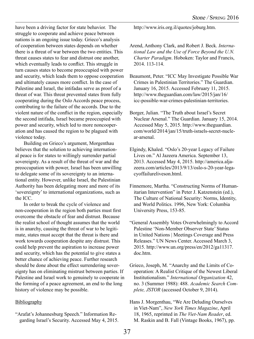have been a driving factor for state behavior. The struggle to cooperate and achieve peace between nations is an ongoing issue today. Grieco's analysis of cooperation between states depends on whether there is a threat of war between the two entities. This threat causes states to fear and distrust one another which eventually leads to conflict. This struggle in turn causes states to become preoccupied with power and security, which leads them to oppose cooperation and ultimately causes more conflict. In the case of Palestine and Israel, the intifadas serve as proof of a threat of war. This threat prevented states from fully cooperating during the Oslo Accords peace process, contributing to the failure of the accords. Due to the violent nature of the conflict in the region, especially the second intifada, Israel became preoccupied with power and security, which led to more noncooperation and has caused the region to be plagued with violence today.

Building on Grieco's argument, Morgenthau believes that the solution to achieving international peace is for states to willingly surrender partial sovereignty. As a result of the threat of war and the preoccupation with power, Israel has been unwilling to delegate some of its sovereignty to an international entity. However, unlike Israel, the Palestinian Authority has been delegating more and more of its 'sovereignty' to international organizations, such as the ICC.

In order to break the cycle of violence and non-cooperation in the region both parties must first overcome the obstacle of fear and distrust. Because the realist school of thought assumes that the world is in anarchy, causing the threat of war to be legitimate, states must accept that the threat is there and work towards cooperation despite any distrust. This could help prevent the aspiration to increase power and security, which has the potential to give states a better chance of achieving peace. Further research should be done about the effect surrendering sovereignty has on eliminating mistrust between parties. If Palestine and Israel work to genuinely to cooperate in the forming of a peace agreement, an end to the long history of violence may be possible.

#### Bibliography

"Arafat's Johannesburg Speech." Information Regarding Israel's Security. Accessed May 4, 2015. http://www.iris.org.il/quotes/joburg.htm.

- Arend, Anthony Clark, and Robert J. Beck. *International Law and the Use of Force Beyond the U.N. Charter Paradigm*. Hoboken: Taylor and Francis, 2014. 113-114.
- Beaumont, Peter. "ICC May Investigate Possible War Crimes in Palestinian Territories." The Guardian. January 16, 2015. Accessed February 11, 2015. http://www.theguardian.com/law/2015/jan/16/ icc-possible-war-crimes-palestinian-territories.
- Borger, Julian. "The Truth about Israel's Secret Nuclear Arsenal." The Guardian. January 15, 2014. Accessed May 5, 2015. http://www.theguardian. com/world/2014/jan/15/truth-israels-secret-nuclear-arsenal.
- Elgindy, Khaled. "Oslo's 20-year Legacy of Failure Lives on." Al Jazeera America. September 13, 2013. Accessed May 4, 2015. http://america.aljazeera.com/articles/2013/9/13/oslo-s-20-year-legacyoffailureliveson.html.
- Finnemore, Martha. "Constructing Norms of Humanitarian Intervention" in Peter J. Katzenstein (ed.), The Culture of National Security: Norms, Identity, and World Politics. 1996, New York: Columbia University Press, 153-85.
- "General Assembly Votes Overwhelmingly to Accord Palestine 'Non-Member Observer State' Status in United Nations | Meetings Coverage and Press Releases." UN News Center. Accessed March 3, 2015. http://www.un.org/press/en/2012/ga11317. doc.htm.
- Grieco, Joseph, M. "Anarchy and the Limits of Cooperation: A Realist Critique of the Newest Liberal Institutionalism." *International Organization* 42, no. 3 (Summer 1988): 488. *Academic Search Complete, JSTOR* (accessed October 9, 2014).
- Hans J. Morgenthau, "We Are Deluding Ourselves in Viet-Nam", *New York Times Magazine*, April 18, 1965, reprinted in *The Viet-Nam Reader*, ed. M. Raskin and B. Fall (Vintage Books, 1967), pp.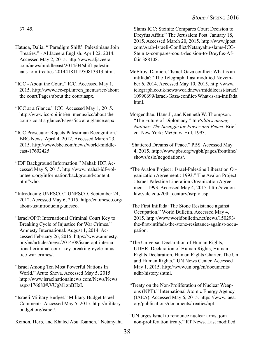37–45.

- Hatuqa, Dalia. "'Paradigm Shift': Palestinians Join Treaties." - Al Jazeera English. April 22, 2014. Accessed May 2, 2015. http://www.aljazeera. com/news/middleeast/2014/04/shift-palestinians-join-treaties-2014418111950813313.html.
- "ICC About the Court." ICC. Accessed May 1, 2015. http://www.icc-cpi.int/en\_menus/icc/about the court/Pages/about the court.aspx.
- "ICC at a Glance." ICC. Accessed May 1, 2015. http://www.icc-cpi.int/en\_menus/icc/about the court/icc at a glance/Pages/icc at a glance.aspx.
- "ICC Prosecutor Rejects Palestinian Recognition." BBC News. April 4, 2012. Accessed March 23, 2015. http://www.bbc.com/news/world-middleeast-17602425.
- "IDF Background Information." Mahal: IDF. Accessed May 5, 2015. http://www.mahal-idf-volunteers.org/information/background/content. htm#who.
- "Introducing UNESCO." UNESCO. September 24, 2012. Accessed May 6, 2015. http://en.unesco.org/ about-us/introducing-unesco.
- "Israel/OPT: International Criminal Court Key to Breaking Cycle of Injustice for War Crimes." Amnesty International. August 1, 2014. Accessed February 26, 2015. https://www.amnesty. org/en/articles/news/2014/08/israelopt-international-criminal-court-key-breaking-cycle-injustice-war-crimes/.
- "Israel Among Ten Most Powerful Nations In World." Arutz Sheva. Accessed May 5, 2015. http://www.israelnationalnews.com/News/News. aspx/176683#.VUgM1znBHzI.
- "Israeli Military Budget." Military Budget Israel Comments. Accessed May 5, 2015. http://militarybudget.org/israel/.

Keinon, Herb, and Khaled Abu Toameh. "Netanyahu

Slams ICC; Steinitz Compares Court Decision to Dreyfus Affair." The Jerusalem Post. January 18, 2015. Accessed March 20, 2015. http://www.jpost. com/Arab-Israeli-Conflict/Netanyahu-slams-ICC-Steinitz-compares-court-decision-to-Dreyfus-Affair-388108.

- McElroy, Damien. "Israel-Gaza conflict: What is an intifada?" The Telegraph. Last modified November 6, 2014. Accessed May 10, 2015. http://www. telegraph.co.uk/news/worldnews/middleeast/israel/ 10990699/Israel-Gaza-conflict-What-is-an-intifada. html.
- Morgenthau, Hans J., and Kenneth W. Thompson. "The Future of Diplomacy." In *Politics among Nations: The Struggle for Power and Peace*. Brief ed. New York: McGraw-Hill, 1993.
- "Shattered Dreams of Peace." PBS. Accessed May 4, 2015. http://www.pbs.org/wgbh/pages/frontline/ shows/oslo/negotiations/.
- "The Avalon Project : Israel-Palestine Liberation Organization Agreement : 1993." The Avalon Project : Israel-Palestine Liberation Organization Agreement : 1993. Accessed May 4, 2015. http://avalon. law.yale.edu/20th\_century/isrplo.asp.
- "The First Intifada: The Stone Resistance against Occupation." World Bulletin. Accessed May 4, 2015. http://www.worldbulletin.net/news/150293/ the-first-intifada-the-stone-resistance-against-occupation.
- "The Universal Declaration of Human Rights, UDHR, Declaration of Human Rights, Human Rights Declaration, Human Rights Charter, The Un and Human Rights." UN News Center. Accessed May 1, 2015. http://www.un.org/en/documents/ udhr/history.shtml.
- "Treaty on the Non-Proliferation of Nuclear Weapons (NPT)." International Atomic Energy Agency (IAEA). Accessed May 6, 2015. https://www.iaea. org/publications/documents/treaties/npt.
- "UN urges Israel to renounce nuclear arms, join non-proliferation treaty." RT News. Last modified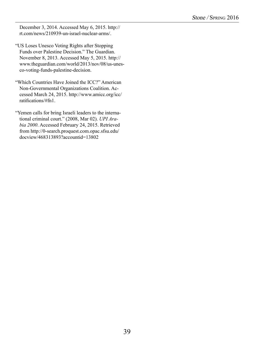December 3, 2014. Accessed May 6, 2015. http:// rt.com/news/210939-un-israel-nuclear-arms/.

- "US Loses Unesco Voting Rights after Stopping Funds over Palestine Decision." The Guardian. November 8, 2013. Accessed May 5, 2015. http:// www.theguardian.com/world/2013/nov/08/us-unesco-voting-funds-palestine-decision.
- "Which Countries Have Joined the ICC?" American Non-Governmental Organizations Coalition. Accessed March 24, 2015. http://www.amicc.org/icc/ ratifications/#fn1.
- "Yemen calls for bring Israeli leaders to the international criminal court." (2008, Mar 02). *UPI Arabia 2000*. Accessed February 24, 2015. Retrieved from http://0-search.proquest.com.opac.sfsu.edu/ docview/468313893?accountid=13802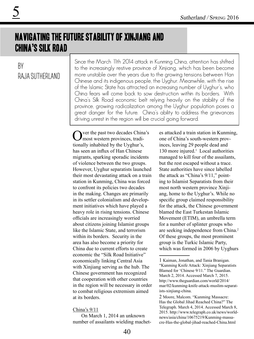## Navigating the Future Stability of Xinjiang and China's Silk Road

### By Raja Sutherland

5

Since the March 11th 2014 attack in Kunming China, attention has shifted to the increasingly restive province of Xinjiang, which has been become more unstable over the years due to the growing tensions between Han Chinese and its indigenous people, the Uyghur. Meanwhile, with the rise of the Islamic State has attracted an increasing number of Uyghur's, who China fears will come back to sow destruction within its borders. With China's Silk Road economic belt relying heavily on the stability of the province, growing radicalization among the Uyghur population poses a great danger for the future. China's ability to address the grievances driving unrest in the region will be crucial going forward.

ver the past two decades China's most western provinces, traditionally inhabited by the Uyghur's, has seen an influx of Han Chinese migrants, sparking sporadic incidents of violence between the two groups. However, Uyghur separatists launched their most devastating attack on a train station in Kunming, China was forced to confront its policies two decades in the making. Changes are primarily in its settler colonialism and development initiatives which have played a heavy role in rising tensions. Chinese officials are increasingly worried about citizens joining Islamist groups like the Islamic State, and terrorism within its borders. Security in the area has also become a priority for China due to current efforts to create economic the "Silk Road Initiative" economically linking Central Asia with Xinjiang serving as the hub. The Chinese government has recognized that cooperation with other countries in the region will be necessary in order to combat religious extremism aimed at its borders.

#### China's 9/11

On March 1, 2014 an unknown number of assailants wielding machetes attacked a train station in Kunming, one of China's south-western provinces, leaving 29 people dead and 130 more injured.<sup>1</sup> Local authorities managed to kill four of the assailants, but the rest escaped without a trace. State authorities have since labelled the attack as "China's 9/11," pointing to Islamist Separatists from their most north western province Xinjiang, home to the Uyghur's. While no specific group claimed responsibility for the attack, the Chinese government blamed the East Turkestan Islamic Movement (ETIM), an umbrella term for a number of splinter groups who are seeking independence from China.<sup>2</sup> Of these groups, the most prominent group is the Turkic Islamic Party, which was formed in 2006 by Uyghurs

<sup>1</sup> Kaiman, Jonathan, and Tania Branigan. "Kunming Knife Attack: Xinjiang Separatists Blamed for 'Chinese 9/11." The Guardian. March 2, 2014. Accessed March 7, 2015. http://www.theguardian.com/world/2014/ mar/02/kunming-knife-attack-muslim-separatists-xinjiang-china.

<sup>2</sup> Moore, Malcom. "Kunming Massacre: Has the Global Jihad Reached China?" The Telegraph. March 4, 2014. Accessed March 8, 2015. http://www.telegraph.co.uk/news/worldnews/asia/china/10675219/Kunming-massacre-Has-the-global-jihad-reached-China.html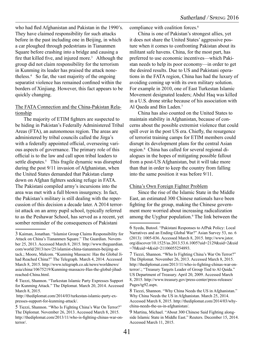who had fled Afghanistan and Pakistan in the 1990's. They have claimed responsibility for such attacks before in the past including one in Beijing, in which a car ploughed through pedestrians in Tiananmen Square before crashing into a bridge and causing a fire that killed five, and injured more.<sup>3</sup> Although the group did not claim responsibility for the terrorism in Kunming its leader has praised the attack nonetheless.4 So far, the vast majority of the ongoing separatist violence has remained confined within the borders of Xinjiang. However, this fact appears to be quickly changing.

#### The FATA Connection and the China-Pakistan Relationship

The majority of ETIM fighters are suspected to be hiding in Pakistan's Federally Administered Tribal Areas (FTA), an autonomous region. The areas are administered by tribal councils called the Jirga's with a federally appointed official, overseeing various aspects of governance. The primary role of this official is to the law and call upon tribal leaders to settle disputes.<sup>5</sup> This fragile dynamic was disrupted during the post 9/11 invasion of Afghanistan, when the United States demanded that Pakistan clamp down on Afghan fighters seeking refuge in FATA. The Pakistani compiled army's incursions into the area was met with a full blown insurgency. In fact, the Pakistan's military is still dealing with the repercussion of this decision a decade later. A 2014 terrorist attack on an army pupil school, typically referred to as the Peshawar School, has served as a recent, yet somber reminder of the consequences of Pakistani

compliance with coalition forces.<sup>6</sup>

China is one of Pakistan's strongest allies, yet it does not share the United States' aggressive posture when it comes to confronting Pakistan about its militant safe havens. China, for the most part, has preferred to use economic incentives—which Pakistan needs to help its poor economy—in order to get the desired results. Due to US and Pakistani operations in the FATA region, China has had the luxury of avoiding coming up with its own military solution. For example in 2010, one of East Turkestan Islamic Movement designated leaders; Abdul Haq was killed in a U.S. drone strike because of his association with Al Qaeda and Bin Laden.7

China has also counted on the United States to maintain stability in Afghanistan, because of concerns about the possible extremist violence that could spill over in the post US era. Chiefly, the resurgence of terrorist training camps for ETIM members could disrupt its development plans for the central Asian region.8 China has called for several regional dialogues in the hopes of mitigating possible fallout from a post-US Afghanistan, but it will take more than that in order to keep the country from falling into the same position it was before 9/11.

#### China's Own Foreign Fighter Problem

Since the rise of the Islamic State in the Middle East, an estimated 300 Chinese nationals have been fighting for the group, making the Chinese government more worried about increasing radicalization among the Uyghur population.<sup>9</sup> The link between the

<sup>3</sup> Kaiman, Jonathan. "Islamist Group Claims Responsibility for Attack on China's Tiananmen Square." The Guardian. November 25, 2013. Accessed March 8, 2015. http://www.theguardian. com/world/2013/nov/25/islamist-china-tiananmen-beijing-attack.; Moore, Malcom. "Kunming Massacre: Has the Global Jihad Reached China?" The Telegraph. March 4, 2014. Accessed March 8, 2015. http://www.telegraph.co.uk/news/worldnews/ asia/china/10675219/Kunming-massacre-Has-the-global-jihadreached-China.html.

<sup>4</sup> Tiezzi, Shannon. "Turkestan Islamic Party Expresses Support for Kunming Attack." The Diplomat. March 20, 2014. Accessed March 8, 2015.

http://thediplomat.com/2014/03/turkestan-islamic-party-expresses-support-for-kunming-attack/.

<sup>5</sup> Tiezzi, Shannon. "Who Is Fighting China's War On Terror?" The Diplomat. November 26, 2013. Accessed March 8, 2015. http://thediplomat.com/2013/11/who-is-fighting-chinas-war-onterror/.

<sup>6</sup> Syeda, Butool. "Pakistani Responses to AfPak Policy: Local Narratives and an Ending Global War?" Asian Survey 53, no. 6 (2013): 1005-036. Accessed March 8, 2015. http://www.jstor. org/discover/10.1525/as.2013.53.6.1005?uid=2129&uid=2&uid =70&uid=4&sid=21106055254893.

<sup>7</sup> Tiezzi, Shannon. "Who Is Fighting China's War On Terror?" The Diplomat. November 26, 2013. Accessed March 8, 2015. http://thediplomat.com/2013/11/who-is-fighting-chinas-war-onterror/.; "Treasury Targets Leader of Group Tied to Al Qaida." US Department of Treasury. April 20, 2009. Accessed March 8, 2015. http://www.treasury.gov/press-center/press-releases/ Pages/tg92.aspx.

<sup>8</sup> Tiezzi, Shannon. "Why China Needs the US in Afghanistan." Why China Needs the US in Afghanistan. March 25, 2014. Accessed March 8, 2015. http://thediplomat.com/2014/03/whychina-needs-the-us-in-afghanistan/.

<sup>9</sup> Martina, Michael. "About 300 Chinese Said Fighting alongside Islamic State in Middle East." Reuters. December 15, 2014. Accessed March 11, 2015.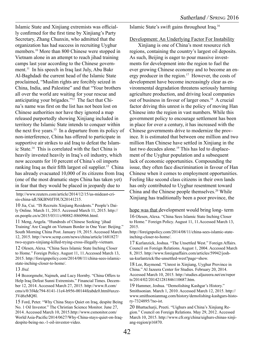Islamic State and Xinjiang extremists was officially confirmed for the first time by Xinjiang's Party Secretary, Zhang Chunxin, who admitted that the organization has had success in recruiting Uyghur members.10 More than 800 Chinese were stopped in Vietnam alone in an attempt to reach jihad training camps last year according to the Chinese government.<sup>11</sup> In his speech in Iraq last July, Abu Bakr Al-Baghdadi the current head of the Islamic State proclaimed, "Muslim rights are forcibly seized in China, India, and Palestine" and that "Your brothers all over the world are waiting for your rescue and anticipating your brigades."12 The fact that China's name was first on the list has not been lost on Chinese authorities nor have they ignored a map released purportedly showing Xinjiang included in territory the Islamic State intends to conquer within the next five years.<sup>13</sup> In a departure from its policy of non-interference, China has offered to participate in supportive air strikes to aid Iraq to defeat the Islamic State.14 This is correlated with the fact China is heavily invested heavily in Iraq's oil industry, which now accounts for 10 percent of China's oil imports ranking Iraq as their fifth largest oil supplier.<sup>15</sup> China has already evacuated 10,000 of its citizens from Iraq (one of the most dramatic steps China has taken yet) in fear that they would be placed in jeopardy due to

 http://www.reuters.com/article/2014/12/15/us-mideast-crisis-china-idUSKBN0JT0UX20141215.

10 Jia, Cui. "IS Recruits Xinjiang Residents." People's Daily Online. March 11, 2015. Accessed March 11, 2015. http:// en.people.cn/n/2015/0311/c90882-8860966.html.

11 Meng, Angela. "Hundreds of Chinese Seeking 'jihad Training' Are Caught on Vietnam Border in One Year: Beijing." South Morning China Post. January 19, 2015. Accessed March 12, 2015. http://www.scmp.com/news/china/article/1681827/ two-uygurs-xinjiang-killed-trying-cross-illegally-vietnam.

12 Olesen, Alexa. "China Sees Islamic State Inching Closer to Home." Foreign Policy. August 11, 11.Accessed March 13, 2015. http://foreignpolicy.com/2014/08/11/china-sees-islamicstate-inching-closer-to-home/.

#### 13 *Ibid.*

14 Bozorgmehr, Najmeh, and Lucy Hornby. "China Offers to Help Iraq Defeat Sunni Extremists." Financial Times. December 12, 2014. Accessed March 27, 2015. http://www.ft.com/ cms/s/0/3f4dc794-8141-11e4-b956-00144feabdc0.html#axzz-3Vd6zMQ8l.

15 Ford, Peter. "Why China Stays Quiet on Iraq, despite Being No. 1 Oil Investor." The Christian Science Monitor. June 27, 2014. Accessed March 10, 2015.http://www.csmonitor.com/ World/Asia-Pacific/2014/0627/Why-China-stays-quiet-on-Iraqdespite-being-no.-1-oil-investor-video.

Islamic State's swift gains throughout Iraq.16

#### Development: An Underlying Factor For Instability

Xinjiang is one of China's most resource rich regions, containing the country's largest oil deposits. As such, Beijing is eager to pour massive investments for development into the region to fuel the ever growing Chinese economy and to become an energy producer in the region.<sup>17</sup> However, the costs of development have become increasingly clear as environmental degradation threatens seriously harming agriculture production, and driving local companies out of business in favour of larger ones.18 A crucial factor driving this unrest is the policy of moving Han Chinese into the region in vast numbers. While this government policy to encourage settlement has been in place for over a century, it has increased with the Chinese governments drive to modernize the province. It is estimated that between one million and two million Han Chinese have settled in Xinjiang in the last two decades alone.<sup>19</sup> This has led to displacement of the Uyghur population and a subsequent lack of economic opportunities. Compounding the issue, they often face discrimination in favour of Han Chinese when it comes to employment opportunities. Feeling like second class citizens in their own lands has only contributed to Uyghur resentment toward China and the Chinese people themselves.<sup>20</sup> While Xinjiang has traditionally been a poor province, the

hope was that development would bring long- term 16 Olesen, Alexa. "China Sees Islamic State Inching Closer to Home." Foreign Policy. August 11, 11.Accessed March 13,

2015. http://foreignpolicy.com/2014/08/11/china-sees-islamic-stateinching-closer-to-home/.

17 Kurlanzick, Joshua. "The Unsettled West." Foreign Affairs. Council on Foreign Relations. August 1, 2004. Accessed March 8, 2015. http://www.foreignaffairs.com/articles/59942/joshua-kurlantzick/the-unsettled-west?page=show.

18 Lee, Raymond. "Unrest in Xinjiang, Uyghur Province in China." Al Jazeera Center for Studies. February 20, 2014. Accessed March 10, 2015. http://studies.aljazeera.net/en/repor ts/2014/02/201421281846110687.htm.

19 Hammer, Joshua. "Demolishing Kashgar's History." Smithsonian. March 1, 2010. Accessed March 12, 2015. http:// www.smithsonianmag.com/history/demolishing-kashgars-history-7324895/?no-ist.

20 Bhattacharji, Preeti. "Uighurs and China's Xinjiang Region." Council on Foreign Relations. May 29, 2012. Accessed March 10, 2015. http://www.cfr.org/china/uighurs-chinas-xinjiang-region/p16870.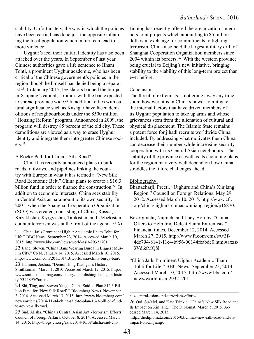stability. Unfortunately, the way in which the policies have been carried has done just the opposite inflaming the local population which in turn can lead to more violence.

Uyghur's feel their cultural identity has also been attacked over the years. In September of last year, Chinese authorities gave a life sentence to IIham Tohti, a prominent Uyghur academic, who has been critical of the Chinese government's policies in the region though he himself has denied being a separatist.21 In January 2015, legislators banned the burqa in Xinjiang's capital; Urumqi, with the ban expected to spread province wide.<sup>22</sup> In addition cities with cultural significance such as Kashgar have faced demolitions of neighbourhoods under the \$500 million "Housing Reform" program. Announced in 2009, the program will destroy 85 percent of the old city. These demolitions are viewed as a way to erase Uyghur identity and integrate them into greater Chinese soci- $\text{ety.}^{23}$ 

#### A Rocky Path for China's Silk Road?

China has recently announced plans to build roads, railways, and pipelines linking the country with Europe in what it has termed a "New Silk Road Economic Belt," China plans to create a \$16.3 billion fund in order to finance the construction.<sup>24</sup> In addition to economic interests, China sees stability in Central Asia as paramount to its own security. In 2001, when the Shanghai Cooperation Organization (SCO) was created, consisting of China, Russia, Kazakhstan, Kyrgyzstan, Tajikistan, and Uzbekistan counter terrorism was at the front of the agenda.<sup>25</sup> Xi

Jinping has recently offered the organization's members joint projects which amounting to \$5 billion dollars in exchange for commitments to fighting terrorism. China also held the largest military drill of Shanghai Cooperation Organization members since 2004 within its borders.26 With the western province being crucial to Beijing's new initiative, bringing stability to the viability of this long-term project than ever before.

#### Conclusion

The threat of extremists is not going away any time soon; however, it is in China's power to mitigate the internal factors that have driven members of its Uyghur population to take up arms and whose grievances stem from the alienation of cultural and physical displacement. The Islamic State remains a potent force for jihadi recruits worldwide China included. By addressing what motivates them China can decrease their number while increasing security cooperation with its Central Asian neighbours. The stability of the province as well as its economic plans for the region may very well depend on how China straddles the future challenges ahead.

#### **Bibliography**

- Bhattacharji, Preeti. "Uighurs and China's Xinjiang Region." Council on Foreign Relations. May 29, 2012. Accessed March 10, 2015. http://www.cfr. org/china/uighurs-chinas-xinjiang-region/p16870.
- Bozorgmehr, Najmeh, and Lucy Hornby. "China Offers to Help Iraq Defeat Sunni Extremists." Financial times. December 12, 2014. Accessed March 27, 2015. http://www.ft.com/cms/s/0/3f-4dc794-8141-11e4-b956-00144feabdc0.html#axzz-3Vd6zMQ8l.
- "China Jails Prominent Uighur Academic Ilham Tohti for Life." BBC News. September 23, 2014. Accessed March 10, 2015. http://www.bbc.com/ news/world-asia-29321701.

<sup>21 &</sup>quot;China Jails Prominent Uighur Academic Ilham Tohti for Life." BBC News. September 23, 2014. Accessed March 10, 2015. http://www.bbc.com/news/world-asia-29321701.

<sup>22</sup> Jiang, Steven. "China Bans Wearing Burqa in Biggest Muslim City." CNN. January 14, 2015. Accessed March 10, 2015. http://www.cnn.com/2015/01/13/world/asia/china-burqa-ban/.

<sup>23</sup> Hammer, Joshua. "Demolishing Kashgar's History." Smithsonian. March 1, 2010. Accessed March 12, 2015. http:// www.smithsonianmag.com/history/demolishing-kashgars-history-7324895/?no-ist.

<sup>24</sup> Shi, Ting, and Steven Yang. "China Said to Plan \$16.3 Billion Fund for 'New Silk Road'." Bloomberg News. November 3, 2014. Accessed March 13, 2015. http://www.bloomberg.com/ news/articles/2014-11-04/china-said-to-plan-16-3-billion-fundto-revive-silk-road.

<sup>25</sup> Sud, Alisha. "China's Central Asian Anti-Terrorism Efforts." Council of Foreign Affairs. October 8, 2014. Accessed March 14, 2015. http://blogs.cfr.org/asia/2014/10/08/alisha-sud-chi-

nas-central-asian-anti-terrorism-efforts/.

<sup>26</sup> Ooi, Su-Mei, and Kate Trinkle. "China's New Silk Road and Its Impact on Xinjiang." The Diplomat. March 5, 2015. Accessed March 14, 2015.

http://thediplomat.com/2015/03/chinas-new-silk-road-and-itsimpact-on-xinjiang/.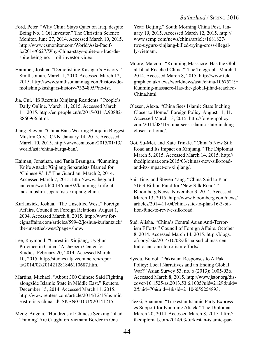Ford, Peter. "Why China Stays Quiet on Iraq, despite Being No. 1 Oil Investor." The Christian Science Monitor. June 27, 2014. Accessed March 10, 2015. http://www.csmonitor.com/World/Asia-Pacific/2014/0627/Why-China-stays-quiet-on-Iraq-despite-being-no.-1-oil-investor-video.

Hammer, Joshua. "Demolishing Kashgar's History." Smithsonian. March 1, 2010. Accessed March 12, 2015. http://www.smithsonianmag.com/history/demolishing-kashgars-history-7324895/?no-ist.

Jia, Cui. "IS Recruits Xinjiang Residents." People's Daily Online. March 11, 2015. Accessed March 11, 2015. http://en.people.cn/n/2015/0311/c90882- 8860966.html.

Jiang, Steven. "China Bans Wearing Burqa in Biggest Muslim City." CNN. January 14, 2015. Accessed March 10, 2015. http://www.cnn.com/2015/01/13/ world/asia/china-burqa-ban/.

Kaiman, Jonathan, and Tania Branigan. "Kunming Knife Attack: Xinjiang Separatists Blamed for 'Chinese 9/11." The Guardian. March 2, 2014. Accessed March 7, 2015. http://www.theguardian.com/world/2014/mar/02/kunming-knife-attack-muslim-separatists-xinjiang-china.

Kurlanzick, Joshua. "The Unsettled West." Foreign Affairs. Council on Foreign Relations. August 1, 2004. Accessed March 8, 2015. http://www.foreignaffairs.com/articles/59942/joshua-kurlantzick/ the-unsettled-west?page=show.

Lee, Raymond. "Unrest in Xinjiang, Uyghur Province in China." Al Jazeera Center for Studies. February 20, 2014. Accessed March 10, 2015. http://studies.aljazeera.net/en/repor ts/2014/02/201421281846110687.htm.

Martina, Michael. "About 300 Chinese Said Fighting alongside Islamic State in Middle East." Reuters. December 15, 2014. Accessed March 11, 2015. http://www.reuters.com/article/2014/12/15/us-mideast-crisis-china-idUSKBN0JT0UX20141215.

Meng, Angela. "Hundreds of Chinese Seeking 'jihad Training' Are Caught on Vietnam Border in One

Year: Beijing." South Morning China Post. January 19, 2015. Accessed March 12, 2015. http:// www.scmp.com/news/china/article/1681827/ two-uygurs-xinjiang-killed-trying-cross-illegally-vietnam.

Moore, Malcom. "Kunming Massacre: Has the Global Jihad Reached China?" The Telegraph. March 4, 2014. Accessed March 8, 2015. http://www.telegraph.co.uk/news/worldnews/asia/china/10675219/ Kunming-massacre-Has-the-global-jihad-reached-China html

Olesen, Alexa. "China Sees Islamic State Inching Closer to Home." Foreign Policy. August 11, 11. Accessed March 13, 2015. http://foreignpolicy. com/2014/08/11/china-sees-islamic-state-inchingcloser-to-home/.

Ooi, Su-Mei, and Kate Trinkle. "China's New Silk Road and Its Impact on Xinjiang." The Diplomat. March 5, 2015. Accessed March 14, 2015. http:// thediplomat.com/2015/03/chinas-new-silk-roadand-its-impact-on-xinjiang/.

Shi, Ting, and Steven Yang. "China Said to Plan \$16.3 Billion Fund for 'New Silk Road'." Bloomberg News. November 3, 2014. Accessed March 13, 2015. http://www.bloomberg.com/news/ articles/2014-11-04/china-said-to-plan-16-3-billion-fund-to-revive-silk-road.

Sud, Alisha. "China's Central Asian Anti-Terrorism Efforts." Council of Foreign Affairs. October 8, 2014. Accessed March 14, 2015. http://blogs. cfr.org/asia/2014/10/08/alisha-sud-chinas-central-asian-anti-terrorism-efforts/.

Syeda, Butool. "Pakistani Responses to AfPak Policy: Local Narratives and an Ending Global War?" Asian Survey 53, no. 6 (2013): 1005-036. Accessed March 8, 2015. http://www.jstor.org/discover/10.1525/as.2013.53.6.1005?uid=2129&uid= 2&uid=70&uid=4&sid=21106055254893.

Tiezzi, Shannon. "Turkestan Islamic Party Expresses Support for Kunming Attack." The Diplomat. March 20, 2014. Accessed March 8, 2015. http:// thediplomat.com/2014/03/turkestan-islamic-par